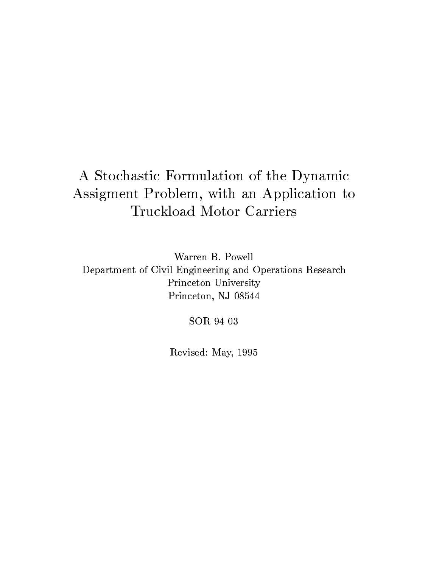# A Stochastic Formulation of the Dynamic Assigment Problem, with an Application to Truckload Motor Carriers

Warren B. PowellDepartment of Civil Engineering and Operations ResearchPrinceton UniversityPrinceton, NJ 08544

SOR 94-03

Revised: May, 1995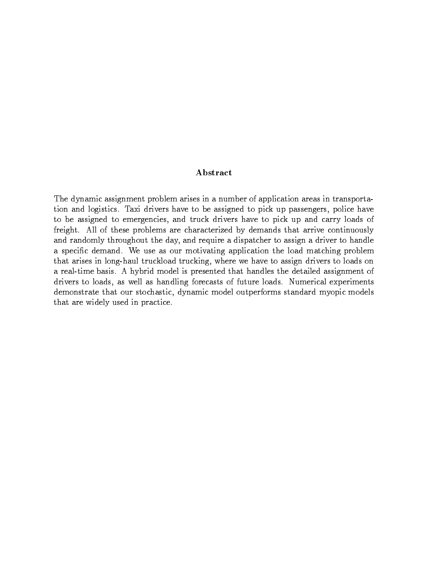### Abstract

The dynamic assignment problem arises in a number of application areas in transportation and logistics. Taxi drivers have to be assigned to pick up passengers, police have to be assigned to emergencies, and truck drivers have to pick up and carry loads of freight. All of these problems are characterized by demands that arrive continuously and randomly throughout the day, and require a dispatcher to assign a driver to handle a specic demand. We use as our motivating application the load matching problem that arises in long-haul truckload trucking, where we have to assign drivers to loads on a real-time basis. A hybrid model is presented that handles the detailed assignment of drivers to loads, as well as handling forecasts of future loads. Numerical experiments demonstrate that our stochastic, dynamic model outperforms standard myopic models that are widely used in practice.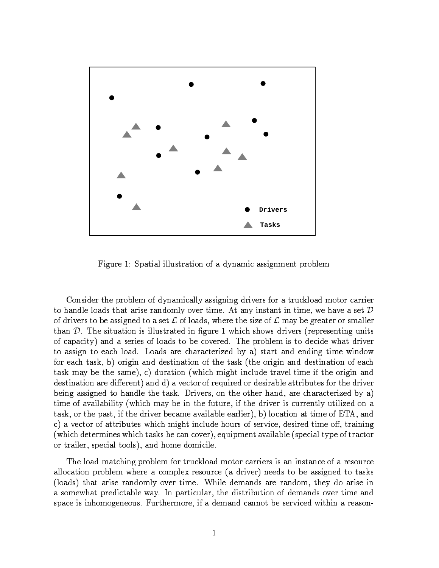

Figure 1: Spatial illustration of a dynamic assignment problem

Consider the problem of dynamically assigning drivers for a truckload motor carrier to handle loads that arise randomly over time. At any instant in time, we have a set  $D$ of drivers to be assigned to a set  $\mathcal L$  of loads, where the size of  $\mathcal L$  may be greater or smaller than  $D$ . The situation is illustrated in figure 1 which shows drivers (representing units of capacity) and a series of loads to be covered. The problem is to decide what driver to assign to each load. Loads are characterized by a) start and ending time window for each task, b) origin and destination of the task (the origin and destination of each task may be the same), c) duration (which might include travel time if the origin and destination are different) and d) a vector of required or desirable attributes for the driver being assigned to handle the task. Drivers, on the other hand, are characterized by a) time of availability (which may be in the future, if the driver is currently utilized on a task, or the past, if the driver became available earlier), b) location at time of ETA, and c) a vector of attributes which might include hours of service, desired time off, training (which determines which tasks he can cover), equipment available (special type of tractor or trailer, special tools), and home domicile.

The load matching problem for truckload motor carriers is an instance of a resource allocation problem where a complex resource (a driver) needs to be assigned to tasks (loads) that arise randomly over time. While demands are random, they do arise in a somewhat predictable way. In particular, the distribution of demands over time and space is inhomogeneous. Furthermore, if a demand cannot be serviced within a reason-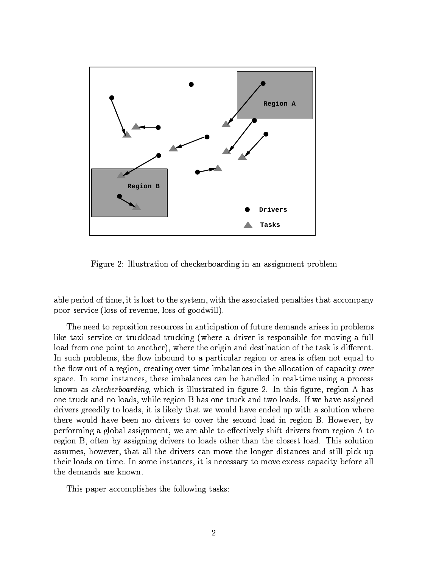

Figure 2: Illustration of checkerboarding in an assignment problem

able period of time, it is lost to the system, with the associated penalties that accompany poor service (loss of revenue, loss of goodwill).

The need to reposition resources in anticipation of future demands arises in problems like taxi service or truckload trucking (where a driver is responsible for moving a full load from one point to another), where the origin and destination of the task is different. In such problems, the flow inbound to a particular region or area is often not equal to the flow out of a region, creating over time imbalances in the allocation of capacity over space. In some instances, these imbalances can be handled in real-time using a process known as *checkerboarding*, which is illustrated in figure 2. In this figure, region A has one truck and no loads, while region B has one truck and two loads. If we have assigned drivers greedily to loads, it is likely that we would have ended up with a solution where there would have been no drivers to cover the second load in region B. However, by performing a global assignment, we are able to effectively shift drivers from region A to region B, often by assigning drivers to loads other than the closest load. This solution assumes, however, that all the drivers can move the longer distances and still pick up their loads on time. In some instances, it is necessary to move excess capacity before all the demands are known.

This paper accomplishes the following tasks: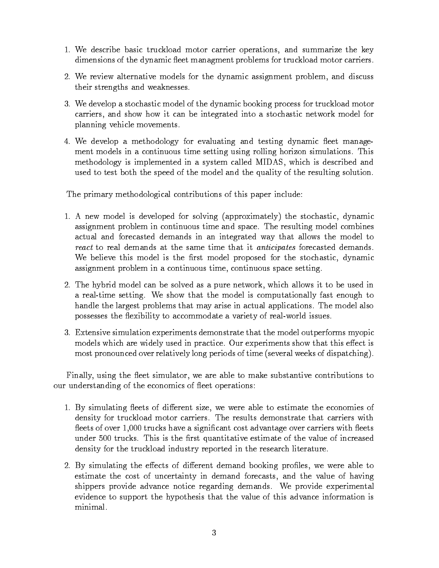- 1. We describe basic truckload motor carrier operations, and summarize the key dimensions of the dynamic fleet managment problems for truckload motor carriers.
- 2. We review alternative models for the dynamic assignment problem, and discuss their strengths and weaknesses.
- 3. We develop a stochastic model of the dynamic booking process for truckload motor carriers, and show how it can be integrated into a stochastic network model for planning vehicle movements.
- 4. We develop a methodology for evaluating and testing dynamic fleet management models in a continuous time setting using rolling horizon simulations. This methodology is implemented in a system called MIDAS, which is described and used to test both the speed of the model and the quality of the resulting solution.

The primary methodological contributions of this paper include:

- 1. A new model is developed for solving (approximately) the stochastic, dynamic assignment problem in continuous time and space. The resulting model combines actual and forecasted demands in an integrated way that allows the model to react to real demands at the same time that it anticipates forecasted demands. We believe this model is the first model proposed for the stochastic, dynamic assignment problem in a continuous time, continuous space setting.
- 2. The hybrid model can be solved as a pure network, which allows it to be used in a real-time setting. We show that the model is computationally fast enough to handle the largest problems that may arise in actual applications. The model also possesses the flexibility to accommodate a variety of real-world issues.
- 3. Extensive simulation experiments demonstrate that the model outperforms myopic models which are widely used in practice. Our experiments show that this effect is most pronounced over relatively long periods of time (several weeks of dispatching).

Finally, using the fleet simulator, we are able to make substantive contributions to our understanding of the economics of fleet operations:

- 1. By simulating fleets of different size, we were able to estimate the economies of density for truckload motor carriers. The results demonstrate that carriers with fleets of over  $1,000$  trucks have a significant cost advantage over carriers with fleets under 500 trucks. This is the first quantitative estimate of the value of increased density for the truckload industry reported in the research literature.
- 2. By simulating the effects of different demand booking profiles, we were able to estimate the cost of uncertainty in demand forecasts, and the value of having shippers provide advance notice regarding demands. We provide experimental evidence to support the hypothesis that the value of this advance information is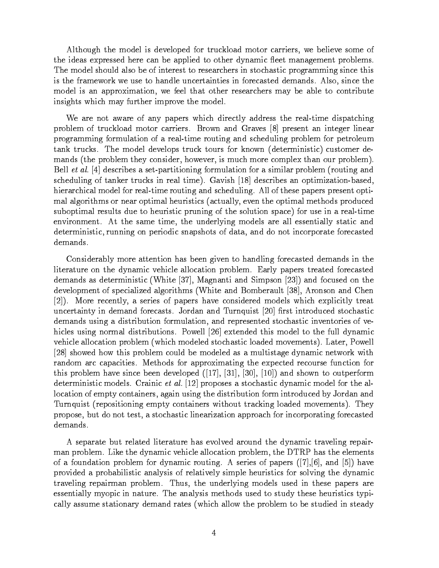Although the model is developed for truckload motor carriers, we believe some of the ideas expressed here can be applied to other dynamic fleet management problems. The model should also be of interest to researchers in stochastic programming since this is the framework we use to handle uncertainties in forecasted demands. Also, since the model is an approximation, we feel that other researchers may be able to contribute insights which may further improve the model.

We are not aware of any papers which directly address the real-time dispatching problem of truckload motor carriers. Brown and Graves [8] present an integer linear programming formulation of a real-time routing and scheduling problem for petroleum tank trucks. The model develops truck tours for known (deterministic) customer demands (the problem they consider, however, is much more complex than our problem). Bell *et al.* [4] describes a set-partitioning formulation for a similar problem (routing and scheduling of tanker trucks in real time). Gavish [18] describes an optimization-based, hierarchical model for real-time routing and scheduling. All of these papers present optimal algorithms or near optimal heuristics (actually, even the optimal methods produced suboptimal results due to heuristic pruning of the solution space) for use in a real-time environment. At the same time, the underlying models are all essentially static and deterministic, running on periodic snapshots of data, and do not incorporate forecasted demands.

Considerably more attention has been given to handling forecasted demands in the literature on the dynamic vehicle allocation problem. Early papers treated forecasted demands as deterministic (White [37], Magnanti and Simpson [23]) and focused on the development of specialized algorithms (White and Bomberault [38], Aronson and Chen [2]). More recently, a series of papers have considered models which explicitly treat uncertainty in demand forecasts. Jordan and Turnquist [20] first introduced stochastic demands using a distribution formulation, and represented stochastic inventories of vehicles using normal distributions. Powell [26] extended this model to the full dynamic vehicle allocation problem (which modeled stochastic loaded movements). Later, Powell [28] showed how this problem could be modeled as a multistage dynamic network with random arc capacities. Methods for approximating the expected recourse function for this problem have since been developed ([17], [31], [30], [10]) and shown to outperform deterministic models. Crainic *et al.* [12] proposes a stochastic dynamic model for the allocation of empty containers, again using the distribution form introduced by Jordan and Turnquist (repositioning empty containers without tracking loaded movements). They propose, but do not test, a stochastic linearization approach for incorporating forecasted demands.

A separate but related literature has evolved around the dynamic traveling repairman problem. Like the dynamic vehicle allocation problem, the DTRP has the elements of a foundation problem for dynamic routing. A series of papers  $([7],[6],$  and  $[5])$  have provided a probabilistic analysis of relatively simple heuristics for solving the dynamic traveling repairman problem. Thus, the underlying models used in these papers are essentially myopic in nature. The analysis methods used to study these heuristics typically assume stationary demand rates (which allow the problem to be studied in steady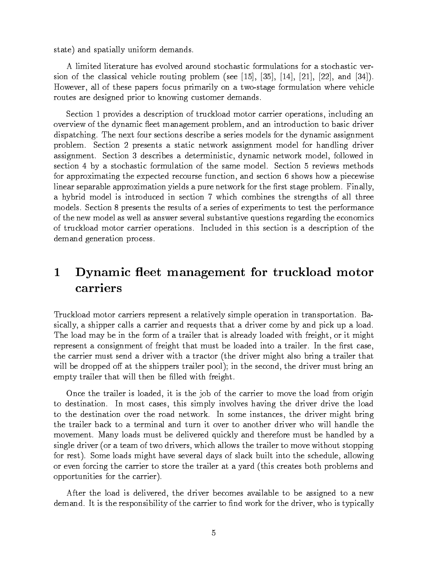state) and spatially uniform demands.

A limited literature has evolved around stochastic formulations for a stochastic version of the classical vehicle routing problem (see  $[15]$ ,  $[35]$ ,  $[14]$ ,  $[21]$ ,  $[22]$ , and  $[34]$ ). However, all of these papers focus primarily on a two-stage formulation where vehicle routes are designed prior to knowing customer demands.

Section 1 provides a description of truckload motor carrier operations, including an overview of the dynamic fleet management problem, and an introduction to basic driver dispatching. The next four sections describe a series models for the dynamic assignment problem. Section 2 presents a static network assignment model for handling driver assignment. Section 3 describes a deterministic, dynamic network model, followed in section 4 by a stochastic formulation of the same model. Section 5 reviews methods for approximating the expected recourse function, and section 6 shows how a piecewise linear separable approximation yields a pure network for the first stage problem. Finally, a hybrid model is introduced in section 7 which combines the strengths of all three models. Section 8 presents the results of a series of experiments to test the performance of the new model as well as answer several substantive questions regarding the economics of truckload motor carrier operations. Included in this section is a description of the demand generation process.

### Dynamic fleet management for truckload motor  $\mathbf 1$ carriers

Truckload motor carriers represent a relatively simple operation in transportation. Basically, a shipper calls a carrier and requests that a driver come by and pick up a load. The load may be in the form of a trailer that is already loaded with freight, or it might represent a consignment of freight that must be loaded into a trailer. In the first case, the carrier must send a driver with a tractor (the driver might also bring a trailer that will be dropped off at the shippers trailer pool); in the second, the driver must bring an empty trailer that will then be filled with freight.

Once the trailer is loaded, it is the job of the carrier to move the load from origin to destination. In most cases, this simply involves having the driver drive the load to the destination over the road network. In some instances, the driver might bring the trailer back to a terminal and turn it over to another driver who will handle the movement. Many loads must be delivered quickly and therefore must be handled by a single driver (or a team of two drivers, which allows the trailer to move without stopping for rest). Some loads might have several days of slack built into the schedule, allowing or even forcing the carrier to store the trailer at a yard (this creates both problems and opportunities for the carrier).

After the load is delivered, the driver becomes available to be assigned to a new demand. It is the responsibility of the carrier to find work for the driver, who is typically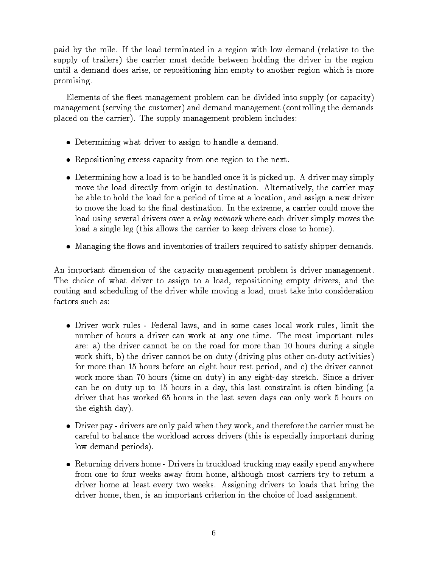paid by the mile. If the load terminated in a region with low demand (relative to the supply of trailers) the carrier must decide between holding the driver in the region until a demand does arise, or repositioning him empty to another region which is more promising.

Elements of the fleet management problem can be divided into supply (or capacity) management (serving the customer) and demand management (controlling the demands placed on the carrier). The supply management problem includes:

- $\bullet$  Determining what driver to assign to handle a demand.
- $\bullet$  -Kepositioning excess capacity from one region to the next.
- $\bullet$  Determining how a load is to be handled once it is picked up. A driver may simply move the load directly from origin to destination. Alternatively, the carrier may be able to hold the load for a period of time at a location, and assign a new driver to move the load to the final destination. In the extreme, a carrier could move the load using several drivers over a *relay network* where each driver simply moves the load a single leg (this allows the carrier to keep drivers close to home).
- $\bullet$  -wanaging the flows and inventories of trailers required to satisfy shipper demands.

An important dimension of the capacity management problem is driver management. The choice of what driver to assign to a load, repositioning empty drivers, and the routing and scheduling of the driver while moving a load, must take into consideration factors such as:

- $\bullet$  Driver work rules Federal laws, and in some cases local work rules, limit the number of hours a driver can work at any one time. The most important rules are: a) the driver cannot be on the road for more than 10 hours during a single work shift, b) the driver cannot be on duty (driving plus other on-duty activities) for more than 15 hours before an eight hour rest period, and c) the driver cannot work more than 70 hours (time on duty) in any eight-day stretch. Since a driver can be on duty up to 15 hours in a day, this last constraint is often binding (a driver that has worked 65 hours in the last seven days can only work 5 hours on the eighth day).
- $\bullet$  -Driver pay drivers are only paid when they work, and therefore the carrier must be careful to balance the workload across drivers (this is especially important during low demand periods).
- $\bullet$  -Keturning drivers home Drivers in truckload trucking may easily spend anywhere  $\bullet$ from one to four weeks away from home, although most carriers try to return a driver home at least every two weeks. Assigning drivers to loads that bring the driver home, then, is an important criterion in the choice of load assignment.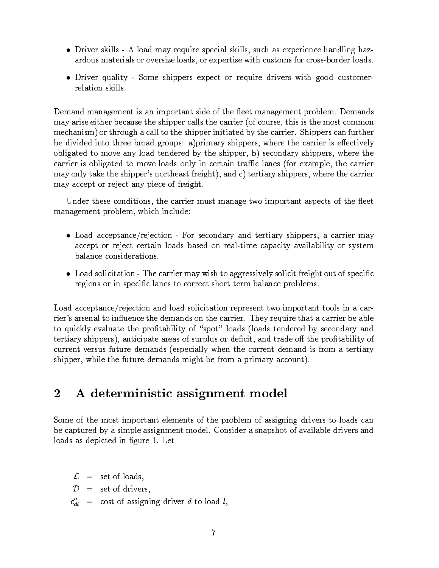- $\bullet$  Driver skills A load may require special skills, such as experience handling hazardous materials or oversize loads, or expertise with customs for cross-border loads.
- Driver quality Some shippers expect or require drivers with good customerrelation skills.

Demand management is an important side of the fleet management problem. Demands may arise either because the shipper calls the carrier (of course, this is the most common mechanism) or through a call to the shipper initiated by the carrier. Shippers can further be divided into three broad groups: a)primary shippers, where the carrier is effectively obligated to move any load tendered by the shipper, b) secondary shippers, where the carrier is obligated to move loads only in certain traffic lanes (for example, the carrier may only take the shipper's northeast freight), and c) tertiary shippers, where the carrier may accept or reject any piece of freight.

Under these conditions, the carrier must manage two important aspects of the fleet management problem, which include:

- $\bullet$  Load acceptance/rejection For secondary and tertiary shippers, a carrier may accept or reject certain loads based on real-time capacity availability or system balance considerations.
- $\bullet$  -Load solicitation The carrier may wish to aggressively solicit freight out of specific  $\bullet$ regions or in specic lanes to correct short term balance problems.

Load acceptance/rejection and load solicitation represent two important tools in a carrier's arsenal to influence the demands on the carrier. They require that a carrier be able to quickly evaluate the profitability of "spot" loads (loads tendered by secondary and tertiary shippers), anticipate areas of surplus or deficit, and trade off the profitability of current versus future demands (especially when the current demand is from a tertiary shipper, while the future demands might be from a primary account).

## 2 A deterministic assignment model

Some of the most important elements of the problem of assigning drivers to loads can be captured by a simple assignment model. Consider a snapshot of available drivers and loads as depicted in figure 1. Let

 $\mathcal{L}$  = set of loads,  $\mathcal{D}$  = set of drivers,  $c_{dl}^+$  = cost of assigning driver d to load l,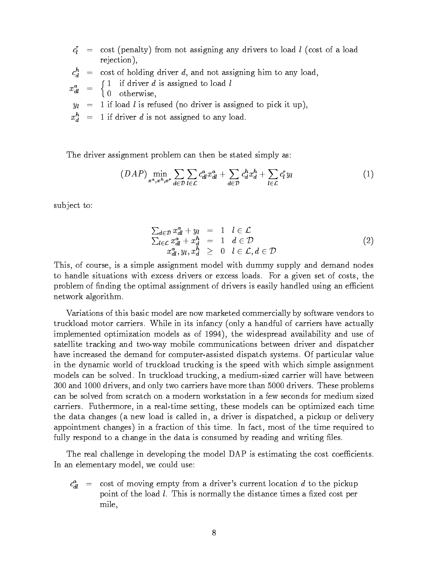- $c_l$  = cost (penalty) from not assigning any drivers to load  $l$  (cost of a load rejection),
- $c_d$  = cost of holding driver  $a$ , and not assigning him to any load,
- $x_{dl} = \{ \}$  $\lceil 1 \rceil$  if driver d is assigned to load l

0 otherwise,

- $y_l = 1$  if load l is refused (no driver is assigned to pick it up),
- $x_d^+ = 1$  if driver a is not assigned to any load.

The driver assignment problem can then be stated simply as:

$$
(DAP) \min_{x^a, x^h, x^r} \sum_{d \in \mathcal{D}} \sum_{l \in \mathcal{L}} c_{dl}^a x_{dl}^a + \sum_{d \in \mathcal{D}} c_d^h x_d^h + \sum_{l \in \mathcal{L}} c_l^r y_l \tag{1}
$$

sub ject to:

$$
\sum_{d \in \mathcal{D}} x_{d}^a + y_l = 1 \quad l \in \mathcal{L}
$$
\n
$$
\sum_{l \in \mathcal{L}} x_{dl}^a + x_d^h = 1 \quad d \in \mathcal{D}
$$
\n
$$
x_{dl}^a, y_l, x_d^h \geq 0 \quad l \in \mathcal{L}, d \in \mathcal{D}
$$
\n
$$
(2)
$$

This, of course, is a simple assignment model with dummy supply and demand nodes to handle situations with excess drivers or excess loads. For a given set of costs, the problem of finding the optimal assignment of drivers is easily handled using an efficient network algorithm.

Variations of this basic model are now marketed commercially by software vendors to truckload motor carriers. While in its infancy (only a handful of carriers have actually implemented optimization models as of 1994), the widespread availability and use of satellite tracking and two-way mobile communications between driver and dispatcher have increased the demand for computer-assisted dispatch systems. Of particular value in the dynamic world of truckload trucking is the speed with which simple assignment models can be solved. In truckload trucking, a medium-sized carrier will have between 300 and 1000 drivers, and only two carriers have more than 5000 drivers. These problems can be solved from scratch on a modern workstation in a few seconds for medium sized carriers. Futhermore, in a real-time setting, these models can be optimized each time the data changes (a new load is called in, a driver is dispatched, a pickup or delivery appointment changes) in a fraction of this time. In fact, most of the time required to fully respond to a change in the data is consumed by reading and writing files.

The real challenge in developing the model DAP is estimating the cost coefficients. In an elementary model, we could use:

 $c_{dl}^a$  = cost of moving empty from a driver's current location d to the pickup point of the load *l*. This is normally the distance times a fixed cost per mile,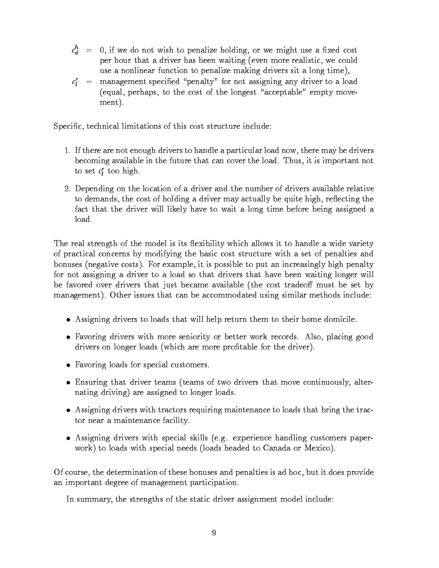- $c_d^+=\phantom{-}$  0, if we do not wish to penalize holding, or we might use a fixed cost per hour that a driver has been waiting (even more realistic, we could use a nonlinear function to penalize making drivers sit a long time),
- $c_l \;\; = \;\;$  management specified "penalty" for not assigning any driver to a load (equal, perhaps, to the cost of the longest "acceptable" empty movement).

Specific, technical limitations of this cost structure include:

- 1. If there are not enough drivers to handle a particular load now, there may be drivers becoming available in the future that can cover the load. Thus, it is important not to set  $c_l$  too nign.
- 2. Depending on the location of a driver and the number of drivers available relative to demands, the cost of holding a driver may actually be quite high, reflecting the fact that the driver will likely have to wait a long time before being assigned a load.

The real strength of the model is its flexibility which allows it to handle a wide variety of practical concerns by modifying the basic cost structure with a set of penalties and bonuses (negative costs). For example, it is possible to put an increasingly high penalty for not assigning a driver to a load so that drivers that have been waiting longer will be favored over drivers that just became available (the cost tradeoff must be set by management). Other issues that can be accommodated using similar methods include:

- Assigning drivers to loads that will help return them to their home domicile.
- $\bullet$  -ravoring drivers with more seniority or better work records. Also, placing good drivers on longer loads (which are more protable for the driver).
- Favoring loads for special customers.
- $\bullet$  Ensuring that driver teams (teams of two drivers that move continuously, alternating driving) are assigned to longer loads.
- Assigning drivers with tractors requiring maintenance to loads that bring the tractor near a maintenance facility.
- Assigning drivers with special skills (e.g. experience handling customers paperwork) to loads with special needs (loads headed to Canada or Mexico).

Of course, the determination of these bonuses and penalties is ad hoc, but it does provide an important degree of management participation.

In summary, the strengths of the static driver assignment model include: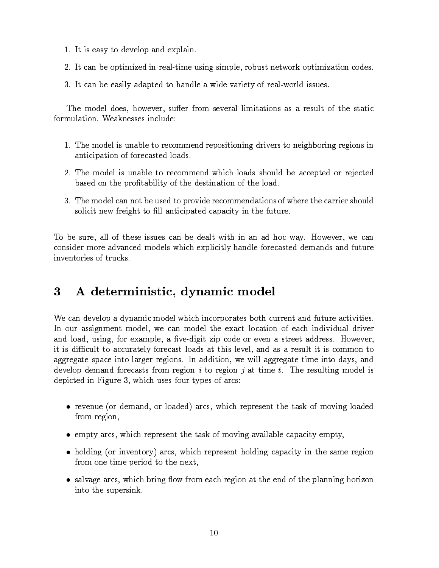- 1. It is easy to develop and explain.
- 2. It can be optimized in real-time using simple, robust network optimization codes.
- 3. It can be easily adapted to handle a wide variety of real-world issues.

The model does, however, suffer from several limitations as a result of the static formulation. Weaknesses include:

- 1. The model is unable to recommend repositioning drivers to neighboring regions in anticipation of forecasted loads.
- 2. The model is unable to recommend which loads should be accepted or rejected based on the protability of the destination of the load.
- 3. The model can not be used to provide recommendations of where the carrier should solicit new freight to fill anticipated capacity in the future.

To be sure, all of these issues can be dealt with in an ad hoc way. However, we can consider more advanced models which explicitly handle forecasted demands and future inventories of trucks

## 3 A deterministic, dynamic model

We can develop a dynamic model which incorporates both current and future activities. In our assignment model, we can model the exact location of each individual driver and load, using, for example, a five-digit zip code or even a street address. However, it is difficult to accurately forecast loads at this level, and as a result it is common to aggregate space into larger regions. In addition, we will aggregate time into days, and develop demand forecasts from region  $i$  to region  $j$  at time  $t$ . The resulting model is depicted in Figure 3, which uses four types of arcs:

- revenue (or demand, or loaded) arcs, which represent the task of moving loaded from region,
- $\bullet$  empty arcs, which represent the task of moving available capacity empty,  $\bullet$
- $\bullet$  holding (or inventory) arcs, which represent holding capacity in the same region from one time period to the next,
- $\bullet$  salvage arcs, which bring now from each region at the end of the planning horizon into the supersink.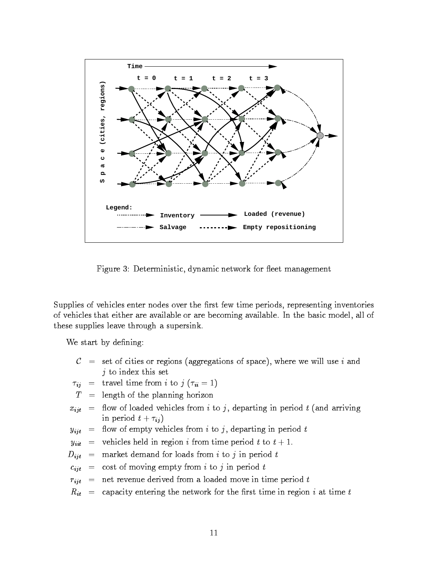

Figure 3: Deterministic, dynamic network for fleet management

Supplies of vehicles enter nodes over the first few time periods, representing inventories of vehicles that either are available or are becoming available. In the basic model, all of these supplies leave through a supersink.

We start by defining:

- $\mathcal{C}$  = set of cities or regions (aggregations of space), where we will use i and  $j$  to index this set
- $\tau_{ij}$  = travel time from i to j ( $\tau_{ii} = 1$ )
- $T =$  length of the planning horizon
- $x_{ijt}$  = flow of loaded vehicles from i to j, departing in period t (and arriving in period  $t + \tau_{ij}$ )
- $y_{ijt}$  = flow of empty vehicles from i to j, departing in period t

 $y_{ii}$  = vehicles held in region *i* from time period *t* to  $t + 1$ .

- $D_{ijt}$  = market demand for loads from i to j in period t
- $c_{ijt}$  = cost of moving empty from i to j in period t
- $r_{i,jt}$  = net revenue derived from a loaded move in time period t
- $R_{it}$  = capacity entering the network for the first time in region i at time t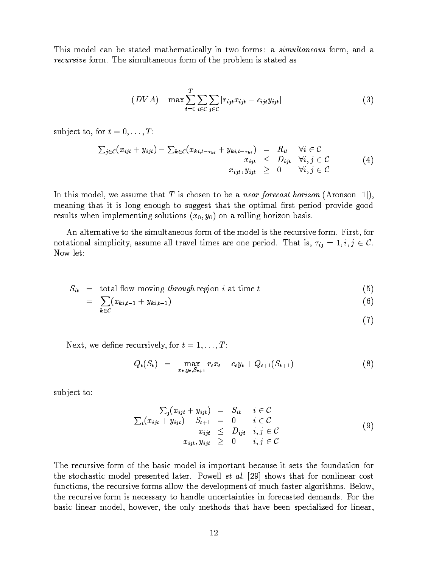This model can be stated mathematically in two forms: a *simultaneous* form, and a recursive form. The simultaneous form of the problem is stated as

$$
(DVA) \quad \max \sum_{t=0}^{T} \sum_{i \in \mathcal{C}} \sum_{j \in \mathcal{C}} [r_{ijt} x_{ijt} - c_{ijt} y_{ijt}] \tag{3}
$$

subject to, for  $t = 0, \ldots, T$ :

 $k\!\in\!\mathcal{C}$ 

$$
\sum_{j \in \mathcal{C}} (x_{ijt} + y_{ijt}) - \sum_{k \in \mathcal{C}} (x_{ki,t-\tau_{ki}} + y_{ki,t-\tau_{ki}}) = R_{it} \quad \forall i \in \mathcal{C}
$$
  
\n
$$
x_{ijt} \leq D_{ijt} \quad \forall i, j \in \mathcal{C}
$$
  
\n
$$
x_{ijt}, y_{ijt} \geq 0 \quad \forall i, j \in \mathcal{C}
$$
  
\n(4)

In this model, we assume that T is chosen to be a *near forecast horizon* (Aronson [1]), meaning that it is long enough to suggest that the optimal first period provide good results when implementing solutions  $(x_0, y_0)$  on a rolling horizon basis.

An alternative to the simultaneous form of the model is the recursive form. First, for notational simplicity, assume all travel times are one period. That is,  $\tau_{ij} = 1, i, j \in \mathcal{C}$ . Now let:

$$
S_{it} = total flow moving through region i at time t
$$
 (5)

$$
= \sum (x_{ki,t-1} + y_{ki,t-1}) \tag{6}
$$

$$
\qquad \qquad (7)
$$

Next, we define recursively, for  $t = 1, \ldots, T$ :

$$
Q_t(S_t) = \max_{x_t, y_t, S_{t+1}} r_t x_t - c_t y_t + Q_{t+1}(S_{t+1})
$$
\n(8)

sub ject to:

$$
\sum_{i}(x_{ijt} + y_{ijt}) = S_{it} \quad i \in C
$$
\n
$$
\sum_{i}(x_{ijt} + y_{ijt}) - S_{t+1} = 0 \quad i \in C
$$
\n
$$
x_{ijt} \leq D_{ijt} \quad i, j \in C
$$
\n
$$
x_{ijt}, y_{ijt} \geq 0 \quad i, j \in C
$$
\n(9)

The recursive form of the basic model is important because it sets the foundation for the stochastic model presented later. Powell et al. [29] shows that for nonlinear cost functions, the recursive forms allow the development of much faster algorithms. Below, the recursive form is necessary to handle uncertainties in forecasted demands. For the basic linear model, however, the only methods that have been specialized for linear,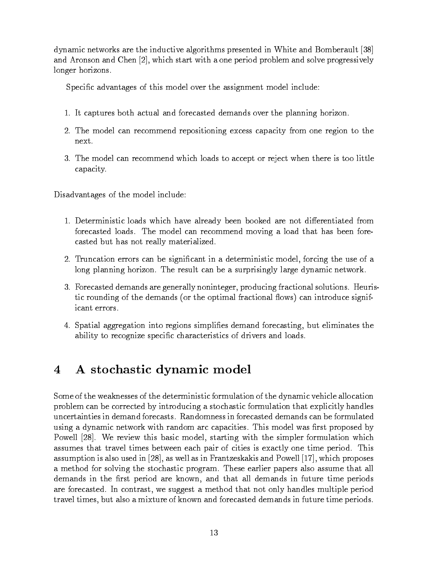dynamic networks are the inductive algorithms presented in White and Bomberault [38] and Aronson and Chen [2], which start with a one period problem and solve progressively longer horizons.

Specific advantages of this model over the assignment model include:

- 1. It captures both actual and forecasted demands over the planning horizon.
- 2. The model can recommend repositioning excess capacity from one region to the next.
- 3. The model can recommend which loads to accept or reject when there is too little capacity.

Disadvantages of the model include:

- 1. Deterministic loads which have already been booked are not differentiated from forecasted loads. The model can recommend moving a load that has been forecasted but has not really materialized.
- 2. Truncation errors can be signicant in a deterministic model, forcing the use of a long planning horizon. The result can be a surprisingly large dynamic network.
- 3. Forecasted demands are generally noninteger, producing fractional solutions. Heuristic rounding of the demands (or the optimal fractional flows) can introduce significant errors.
- 4. Spatial aggregation into regions simplies demand forecasting, but eliminates the ability to recognize specic characteristics of drivers and loads.

#### 4 A stochastic dynamic model  $\overline{\mathbf{4}}$

Some of the weaknesses of the deterministic formulation of the dynamic vehicle allocation problem can be corrected by introducing a stochastic formulation that explicitly handles uncertainties in demand forecasts. Randomness in forecasted demands can be formulated using a dynamic network with random arc capacities. This model was first proposed by Powell [28]. We review this basic model, starting with the simpler formulation which assumes that travel times between each pair of cities is exactly one time period. This assumption is also used in [28], as well as in Frantzeskakis and Powell [17], which proposes a method for solving the stochastic program. These earlier papers also assume that all demands in the first period are known, and that all demands in future time periods are forecasted. In contrast, we suggest a method that not only handles multiple period travel times, but also a mixture of known and forecasted demands in future time periods.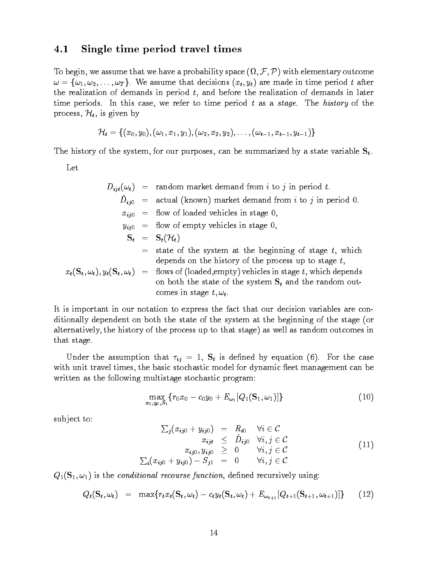#### 4.1 Single time period travel times

To begin, we assume that we have a probability space  $(\Omega, \mathcal{F}, \mathcal{P})$  with elementary outcome  $\omega = {\omega_1, \omega_2, \ldots, \omega_T}$ . We assume that decisions  $(x_t, y_t)$  are made in time period t after the realization of demands in period  $t$ , and before the realization of demands in later time periods. In this case, we refer to time period  $t$  as a stage. The history of the process,  $\mathcal{H}_t$ , is given by

$$
\mathcal{H}_t=\{(x_0,y_0),(\omega_1,x_1,y_1),(\omega_2,x_2,y_2),\ldots,(\omega_{t-1},x_{t-1},y_{t-1})\}
$$

The history of the system, for our purposes, can be summarized by a state variable  $S_t$ .

Let

$$
D_{ijt}(\omega_t) = \text{random market demand from } i \text{ to } j \text{ in period } t.
$$
\n
$$
\hat{D}_{ij0} = \text{actual (known) market demand from } i \text{ to } j \text{ in period } 0.
$$
\n
$$
x_{ij0} = \text{flow of loaded vehicles in stage } 0,
$$
\n
$$
y_{ij0} = \text{flow of empty vehicles in stage } 0,
$$
\n
$$
\mathbf{S}_t = \mathbf{S}_t(\mathcal{H}_t)
$$
\n
$$
= \text{state of the system at the beginning of stage } t, \text{ which depends on the history of the process up to stage } t,
$$
\n
$$
x_t(\mathbf{S}_t, \omega_t), y_t(\mathbf{S}_t, \omega_t) = \text{flows of (loaded, empty) vehicles in stage } t, \text{ which depends on both the state of the system } \mathbf{S}_t \text{ and the random outcomes in stage } t, \omega_t.
$$

It is important in our notation to express the fact that our decision variables are conditionally dependent on both the state of the system at the beginning of the stage (or alternatively, the history of the process up to that stage) as well as random outcomes in that stage.

Under the assumption that  $\tau_{ij} = 1$ ,  $S_t$  is defined by equation (6). For the case with unit travel times, the basic stochastic model for dynamic fleet management can be written as the following multistage stochastic program:

$$
\max_{x_0, y_0, S_1} \{r_0 x_0 - c_0 y_0 + E_{\omega_1}[Q_1(\mathbf{S}_1, \omega_1)]\} \tag{10}
$$

sub ject to:

$$
\sum_{j}(x_{ij0} + y_{ij0}) = R_{i0} \quad \forall i \in C
$$
\n
$$
x_{ijt} \leq \hat{D}_{ij0} \quad \forall i, j \in C
$$
\n
$$
x_{ij0}, y_{ij0} \geq 0 \quad \forall i, j \in C
$$
\n
$$
\sum_{i}(x_{ij0} + y_{ij0}) - S_{j1} = 0 \quad \forall i, j \in C
$$
\n
$$
(11)
$$

 $Q_1(\mathbf{S}_1,\omega_1)$  is the conditional recourse function, defined recursively using:

$$
Q_t(\mathbf{S}_t, \omega_t) = \max\{r_t x_t(\mathbf{S}_t, \omega_t) - c_t y_t(\mathbf{S}_t, \omega_t) + E_{\omega_{t+1}}[Q_{t+1}(\mathbf{S}_{t+1}, \omega_{t+1})]\} \qquad (12)
$$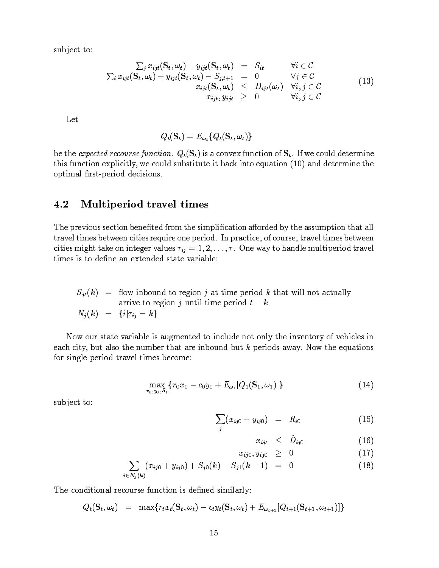sub ject to:

$$
\sum_{i} x_{ijt} (\mathbf{S}_{t}, \omega_{t}) + y_{ijt} (\mathbf{S}_{t}, \omega_{t}) = S_{it} \qquad \forall i \in C
$$
\n
$$
\sum_{i} x_{ijt} (\mathbf{S}_{t}, \omega_{t}) + y_{ijt} (\mathbf{S}_{t}, \omega_{t}) - S_{j,t+1} = 0 \qquad \forall j \in C
$$
\n
$$
x_{ijt} (\mathbf{S}_{t}, \omega_{t}) \leq D_{ijt} (\omega_{t}) \quad \forall i, j \in C
$$
\n
$$
x_{ijt}, y_{ijt} \geq 0 \qquad \forall i, j \in C
$$
\n(13)

Let

$$
\bar{Q}_{\textit{t}}(\mathbf{S}_{\textit{t}}) = E_{\omega_{\textit{t}}}\{Q_{\textit{t}}(\mathbf{S}_{\textit{t}},\omega_{\textit{t}})\}
$$

be the expected recourse function.  $Q_t(S_t)$  is a convex function of  $S_t$ . If we could determine this function explicitly, we could substitute it back into equation (10) and determine the optimal first-period decisions.

### 4.2 Multiperiod travel times

The previous section benefited from the simplification afforded by the assumption that all travel times between cities require one period. In practice, of course, travel times between cities might take on integer values  $\tau_{ij} = 1, 2, \ldots, \bar{\tau}$ . One way to handle multiperiod travel times is to define an extended state variable:

 $S_{jt}(k)$  = flow inbound to region j at time period k that will not actually arrive to region j until time period  $t + k$  $N_j(k) = \{i | \tau_{ij} = k\}$ 

Now our state variable is augmented to include not only the inventory of vehicles in each city, but also the number that are inbound but  $k$  periods away. Now the equations for single period travel times become:

$$
\max_{x_0,y_0,S_1}\{r_0x_0-c_0y_0+E_{\omega_1}[Q_1(\mathbf{S}_1,\omega_1)]\}\tag{14}
$$

sub ject to:

$$
\sum_{j} (x_{ij0} + y_{ij0}) = R_{i0} \tag{15}
$$

$$
x_{ijt} \leq \hat{D}_{ij0} \tag{16}
$$

$$
x_{ij0}, y_{ij0} \geq 0 \qquad (17)
$$

$$
\sum_{i \in N_j(k)} (x_{ij0} + y_{ij0}) + S_{j0}(k) - S_{j1}(k-1) = 0 \qquad (18)
$$

The conditional recourse function is defined similarly:

 $Q_t(\mathbf{S}_t, \omega_t) = \max\{r_t x_t(\mathbf{S}_t, \omega_t) - c_t y_t(\mathbf{S}_t, \omega_t) + E_{\omega_{t+1}}[Q_{t+1}(\mathbf{S}_{t+1}, \omega_{t+1})]\}$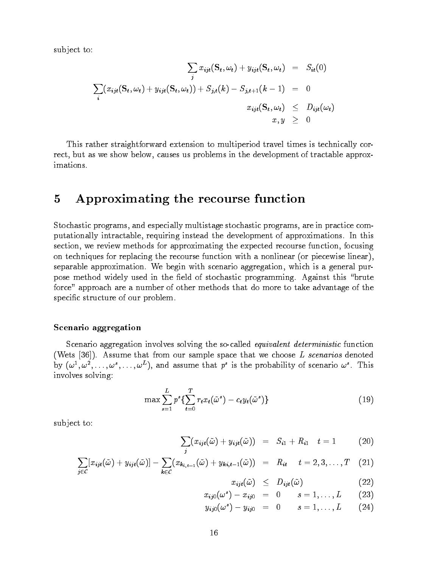sub ject to:

$$
\sum_{j} x_{ijt}(\mathbf{S}_{t}, \omega_{t}) + y_{ijt}(\mathbf{S}_{t}, \omega_{t}) = S_{it}(0)
$$
  

$$
\sum_{i} (x_{ijt}(\mathbf{S}_{t}, \omega_{t}) + y_{ijt}(\mathbf{S}_{t}, \omega_{t})) + S_{j,t}(k) - S_{j,t+1}(k-1) = 0
$$
  

$$
x_{ijt}(\mathbf{S}_{t}, \omega_{t}) \leq D_{ijt}(\omega_{t})
$$
  

$$
x, y \geq 0
$$

This rather straightforward extension to multiperiod travel times is technically correct, but as we show below, causes us problems in the development of tractable approximations.

## 5 Approximating the recourse function

Stochastic programs, and especially multistage stochastic programs, are in practice computationally intractable, requiring instead the development of approximations. In this section, we review methods for approximating the expected recourse function, focusing on techniques for replacing the recourse function with a nonlinear (or piecewise linear), separable approximation. We begin with scenario aggregation, which is a general purpose method widely used in the field of stochastic programming. Against this "brute force" approach are a number of other methods that do more to take advantage of the specific structure of our problem.

#### Scenario aggregation

Scenario aggregation involves solving the so-called *equivalent deterministic* function (Wets  $[36]$ ). Assume that from our sample space that we choose L scenarios denoted by  $(\omega^-, \omega^-, \ldots, \omega^-, \ldots, \omega^-)$ , and assume that p is the probability of scenario  $\omega^-.$  This involves solving:

$$
\max \sum_{s=1}^{L} p^s \left\{ \sum_{t=0}^{T} r_t x_t (\tilde{\omega}^s) - c_t y_t (\tilde{\omega}^s) \right\} \tag{19}
$$

sub ject to:

$$
\sum_{j} (x_{ijt}(\tilde{\omega}) + y_{ijt}(\tilde{\omega})) = S_{i1} + R_{i1} \quad t = 1 \tag{20}
$$

$$
\sum_{j\in\mathcal{C}}[x_{ijt}(\tilde{\omega})+y_{ijt}(\tilde{\omega})]-\sum_{k\in\mathcal{C}}(x_{k_{i,t-1}}(\tilde{\omega})+y_{ki,t-1}(\tilde{\omega}))\quad =\quad R_{it}\qquad t=2,3,\ldots,T\quad \ \ (21)
$$

$$
x_{ijt}(\tilde{\omega}) \leq D_{ijt}(\tilde{\omega}) \tag{22}
$$

$$
x_{ij0}(\omega^s) - x_{ij0} = 0 \qquad s = 1, \ldots, L \qquad (23)
$$

$$
y_{ij0}(\omega^s) - y_{ij0} = 0 \qquad s = 1, \ldots, L \qquad (24)
$$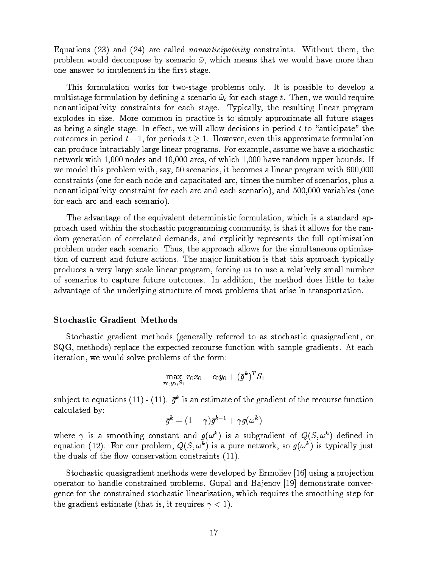Equations  $(23)$  and  $(24)$  are called *nonanticipativity* constraints. Without them, the problem would decompose by scenario  $\tilde{\omega}$ , which means that we would have more than one answer to implement in the first stage.

This formulation works for two-stage problems only. It is possible to develop a multistage formulation by defining a scenario  $\tilde{\omega}_t$  for each stage t. Then, we would require nonanticipativity constraints for each stage. Typically, the resulting linear program explodes in size. More common in practice is to simply approximate all future stages as being a single stage. In effect, we will allow decisions in period  $t$  to "anticipate" the outcomes in period  $t + 1$ , for periods  $t \geq 1$ . However, even this approximate formulation can produce intractably large linear programs. For example, assume we have a stochastic network with 1,000 nodes and 10,000 arcs, of which 1,000 have random upper bounds. If we model this problem with, say, 50 scenarios, it becomes a linear program with 600,000 constraints (one for each node and capacitated arc, times the number of scenarios, plus a nonanticipativity constraint for each arc and each scenario), and 500,000 variables (one for each arc and each scenario).

The advantage of the equivalent deterministic formulation, which is a standard approach used within the stochastic programming community, is that it allows for the random generation of correlated demands, and explicitly represents the full optimization problem under each scenario. Thus, the approach allows for the simultaneous optimization of current and future actions. The ma jor limitation is that this approach typically produces a very large scale linear program, forcing us to use a relatively small number of scenarios to capture future outcomes. In addition, the method does little to take advantage of the underlying structure of most problems that arise in transportation.

#### Stochastic Gradient Methods

Stochastic gradient methods (generally referred to as stochastic quasigradient, or SQG, methods) replace the expected recourse function with sample gradients. At each iteration, we would solve problems of the form:

$$
\max_{x_0,y_0,S_1}r_0x_0-c_0y_0+(\bar{g}^k)^TS_1
$$

subject to equations  $(11)$  -  $(11)$ .  $q^{\perp}$  is an estimate of the gradient of the recourse function calculated by:

$$
\bar{g}^{\bm{k}}=(1-\gamma)\bar{g}^{\bm{k}-1}+\gamma g(\omega^{\bm{k}})
$$

where  $\gamma$  is a smoothing constant and  $g(\omega^k)$  is a subgradient of  $Q(S, \omega^k)$  defined in equation (12). For our problem,  $Q(S, \omega^k)$  is a pure network, so  $g(\omega^k)$  is typically just the duals of the flow conservation constraints  $(11)$ .

Stochastic quasigradient methods were developed by Ermoliev [16] using a projection operator to handle constrained problems. Gupal and Ba jenov [19] demonstrate convergence for the constrained stochastic linearization, which requires the smoothing step for the gradient estimate (that is, it requires  $\gamma < 1$ ).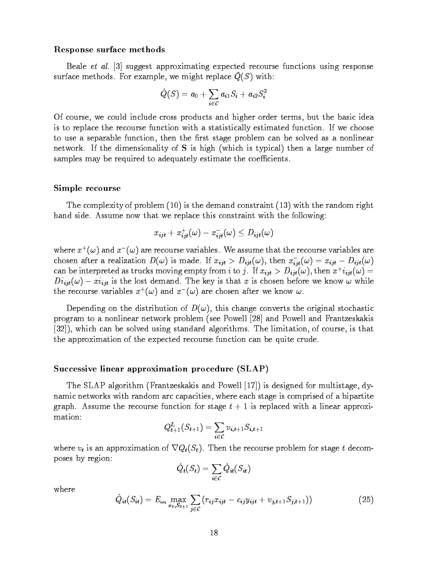#### Response surface methods

Beale et al. [3] suggest approximating expected recourse functions using response  $\mathcal{S}$ urface methods. For example, we might replace  $Q(\mathcal{O})$  with.

$$
\hat Q(S)=a_0+\sum_{i\in\mathcal{C}}a_{i1}S_i+a_{i2}S_i^2
$$

Of course, we could include cross products and higher order terms, but the basic idea is to replace the recourse function with a statistically estimated function. If we choose to use a separable function, then the first stage problem can be solved as a nonlinear network. If the dimensionality of S is high (which is typical) then a large number of samples may be required to adequately estimate the coefficients.

#### Simple recourse

The complexity of problem (10) is the demand constraint (13) with the random right hand side. Assume now that we replace this constraint with the following:

$$
x_{ijt} + x_{ijt}^+(\omega) - x_{ijt}^-(\omega) \leq D_{ijt}(\omega)
$$

where  $x^+(\omega)$  and  $x^-(\omega)$  are recourse variables. We assume that the recourse variables are chosen after a realization  $D(\omega)$  is made. If  $x_{ijt} > D_{ijt}(\omega)$ , then  $x_{ijt}(\omega) = x_{ijt} - D_{ijt}(\omega)$ can be interpreted as trucks moving empty from  $i$  to  $j$  . If  $x_{iit} > D_{iit}(\omega)$  , then  $x_{i}$   $i_{iit}(\omega) =$  $Di_{ijt}(\omega) -xi_{ijt}$  is the lost demand. The key is that x is chosen before we know  $\omega$  while the recourse variables  $x^+(\omega)$  and  $x^-(\omega)$  are chosen after we know  $\omega$ .

Depending on the distribution of  $D(\omega)$ , this change converts the original stochastic program to a nonlinear network problem (see Powell [28] and Powell and Frantzeskakis [32]), which can be solved using standard algorithms. The limitation, of course, is that the approximation of the expected recourse function can be quite crude.

#### Successive linear approximation procedure (SLAP)

The SLAP algorithm (Frantzeskakis and Powell [17]) is designed for multistage, dynamic networks with random arc capacities, where each stage is comprised of a bipartite graph. Assume the recourse function for stage  $t + 1$  is replaced with a linear approximation:

$$
Q_{t+1}^L(S_{t+1}) = \sum_{i \in \mathcal{C}} v_{i,t+1} S_{i,t+1}
$$

where  $v_t$  is an approximation of  $\nabla Q_t(S_t)$ . Then the recourse problem for stage t decomposes by region:

$$
\hat{Q}_{\textit{\textbf{t}}}(S_{\textit{\textbf{t}}}) = \sum_{\textit{\textbf{i}} \in \mathcal{C}} \hat{Q}_{\textit{\textbf{t}} \textit{\textbf{t}}}(S_{\textit{\textbf{t}}})
$$

where

$$
\hat{Q}_{it}(S_{it}) = E_{\omega_t} \max_{x_t, S_{t+1}} \sum_{j \in \mathcal{C}} (r_{ij} x_{ijt} - c_{ij} y_{ijt} + v_{j,t+1} S_{j,t+1})) \tag{25}
$$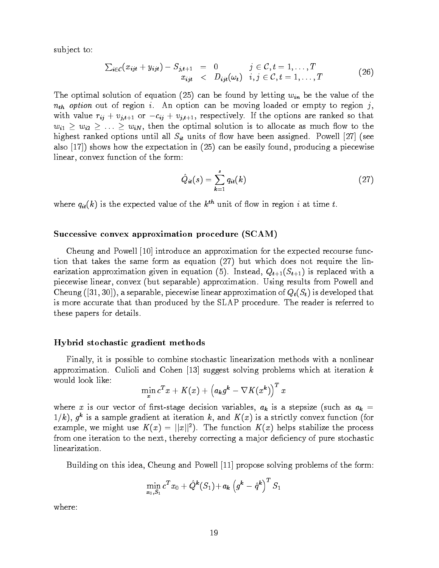sub ject to:

$$
\sum_{i\in\mathcal{C}}(x_{ijt}+y_{ijt})-S_{j,t+1} = 0 \qquad j\in\mathcal{C}, t=1,\ldots,T\begin{array}{lcl}\nx_{ijt} < & D_{ijt}(\omega_t) & i,j\in\mathcal{C}, t=1,\ldots,T\n\end{array} \tag{26}
$$

The optimal solution of equation (25) can be found by letting  $w_{in}$  be the value of the  $n_{th}$  option out of region i. An option can be moving loaded or empty to region j, with value  $r_{ij} + v_{j,t+1}$  or  $-c_{ij} + v_{j,t+1}$ , respectively. If the options are ranked so that  $w_{i1} \geq w_{i2} \geq \ldots \geq w_{iN}$ , then the optimal solution is to allocate as much flow to the highest ranked options until all  $S_{it}$  units of flow have been assigned. Powell [27] (see also [17]) shows how the expectation in (25) can be easily found, producing a piecewise linear, convex function of the form:

$$
\hat{Q}_{it}(s) = \sum_{k=1}^{s} q_{it}(k) \tag{27}
$$

where  $q_{it}(k)$  is the expected value of the  $k^{th}$  unit of flow in region i at time t.

#### Successive convex approximation procedure (SCAM)

Cheung and Powell [10] introduce an approximation for the expected recourse function that takes the same form as equation (27) but which does not require the linearization approximation given in equation (5). Instead,  $Q_{t+1}(S_{t+1})$  is replaced with a piecewise linear, convex (but separable) approximation. Using results from Powell and Cheung ([31, 30]), a separable, piecewise linear approximation of  $Q_t(S_t)$  is developed that is more accurate that than produced by the SLAP procedure. The reader is referred to these papers for details.

#### Hybrid stochastic gradient methods

Finally, it is possible to combine stochastic linearization methods with a nonlinear approximation. Culioli and Cohen [13] suggest solving problems which at iteration  $k$ would look like:

$$
\min_x c^T x + K(x) + \left(a_k g^k - \nabla K(x^k)\right)^T x
$$

where x is our vector of first-stage decision variables,  $a_k$  is a stepsize (such as  $a_k =$  $1/K$ ),  $q^2$  is a sample gradient at iteration k, and  $K(X)$  is a strictly convex function (for example, we might use  $K(x) = ||x||^2$ . The function  $K(x)$  helps stabilize the process from one iteration to the next, thereby correcting a major deficiency of pure stochastic linearization.

Building on this idea, Cheung and Powell [11] propose solving problems of the form:

$$
\min_{x_0,S_1}c^Tx_0 + \hat{Q}^{\bm{k}}(S_1)\!+\!a_{\bm{k}}\left(g^{\bm{k}}-\hat{q}^{\bm{k}}\right)^T S_1
$$

where: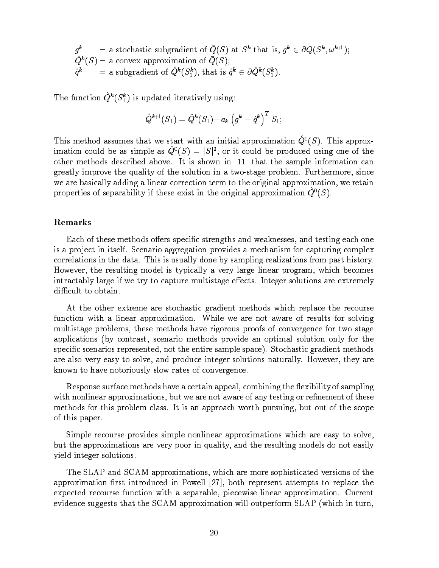q and the set of  $\eta$  $=$  a stochastic subgradient of  $Q(S)$  at  $S^*$  that is,  $q^* \in \partial Q(S^*, \omega^{n+1});$  $Q^k(S) = a$  convex approximation of  $Q(S);$  $q^k$  = a subgradient of  $Q^k(S_1^k)$ , that is  $q^k \in \partial Q^k(S_1^k)$ .

The function  $Q^*(S_i^*)$  is updated iteratively using:

$$
\hat{Q}^{\textit{k}\text{+1}}(S_1) = \hat{Q}^{\textit{k}}(S_1) {+} \, a_{\textit{k}} \, \big( g^{\textit{k}} - \hat{q}^{\textit{k}} \big)^T \, S_1;
$$

This method assumes that we start with an initial approximation  $\hat{Q}^0(S)$ . This approximation could be as simple as  $Q^0(S) = |S|^2$ , or it could be produced using one of the other methods described above. It is shown in [11] that the sample information can greatly improve the quality of the solution in a two-stage problem. Furthermore, since we are basically adding a linear correction term to the original approximation, we retain properties of separability if these exist in the original approximation  $\hat{Q}^0(S)$ .

### Remarks

Each of these methods offers specific strengths and weaknesses, and testing each one is a project in itself. Scenario aggregation provides a mechanism for capturing complex correlations in the data. This is usually done by sampling realizations from past history. However, the resulting model is typically a very large linear program, which becomes intractably large if we try to capture multistage effects. Integer solutions are extremely difficult to obtain.

At the other extreme are stochastic gradient methods which replace the recourse function with a linear approximation. While we are not aware of results for solving multistage problems, these methods have rigorous proofs of convergence for two stage applications (by contrast, scenario methods provide an optimal solution only for the specific scenarios represented, not the entire sample space). Stochastic gradient methods are also very easy to solve, and produce integer solutions naturally. However, they are known to have notoriously slow rates of convergence.

Response surface methods have a certain appeal, combining the flexibility of sampling with nonlinear approximations, but we are not aware of any testing or refinement of these methods for this problem class. It is an approach worth pursuing, but out of the scope of this paper.

Simple recourse provides simple nonlinear approximations which are easy to solve, but the approximations are very poor in quality, and the resulting models do not easily yield integer solutions.

The SLAP and SCAM approximations, which are more sophisticated versions of the approximation first introduced in Powell  $[27]$ , both represent attempts to replace the expected recourse function with a separable, piecewise linear approximation. Current evidence suggests that the SCAM approximation will outperform SLAP (which in turn,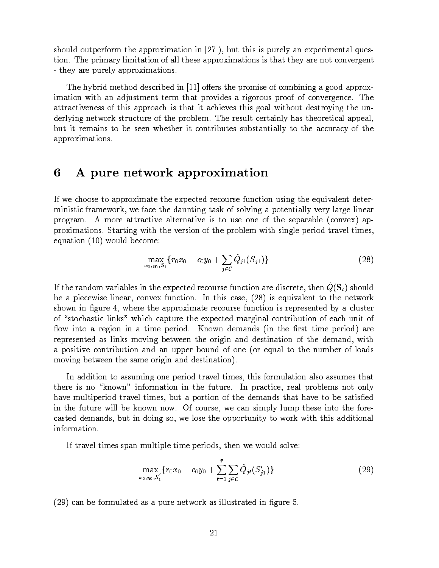should outperform the approximation in [27]), but this is purely an experimental question. The primary limitation of all these approximations is that they are not convergent - they are purely approximations.

The hybrid method described in  $[11]$  offers the promise of combining a good approximation with an adjustment term that provides a rigorous proof of convergence. The attractiveness of this approach is that it achieves this goal without destroying the underlying network structure of the problem. The result certainly has theoretical appeal, but it remains to be seen whether it contributes substantially to the accuracy of the approximations.

#### 6 6 A pure network approximation

If we choose to approximate the expected recourse function using the equivalent deterministic framework, we face the daunting task of solving a potentially very large linear program. A more attractive alternative is to use one of the separable (convex) approximations. Starting with the version of the problem with single period travel times, equation (10) would become:

$$
\max_{x_0, y_0, S_1} \{ r_0 x_0 - c_0 y_0 + \sum_{j \in C} \hat{Q}_{j1}(S_{j1}) \}
$$
\n(28)

If the random variables in the expected recourse runction are discrete, then  $Q(S_t)$  should be a piecewise linear, convex function. In this case, (28) is equivalent to the network shown in figure 4, where the approximate recourse function is represented by a cluster of "stochastic links" which capture the expected marginal contribution of each unit of flow into a region in a time period. Known demands (in the first time period) are represented as links moving between the origin and destination of the demand, with a positive contribution and an upper bound of one (or equal to the number of loads moving between the same origin and destination).

In addition to assuming one period travel times, this formulation also assumes that there is no "known" information in the future. In practice, real problems not only have multiperiod travel times, but a portion of the demands that have to be satisfied in the future will be known now. Of course, we can simply lump these into the forecasted demands, but in doing so, we lose the opportunity to work with this additional

If travel times span multiple time periods, then we would solve:

$$
\max_{x_0, y_0, S_1'} \{r_0 x_0 - c_0 y_0 + \sum_{t=1}^{\bar{\tau}} \sum_{j \in \mathcal{C}} \hat{Q}_{jt}(S_{j1}')\} \tag{29}
$$

 $(29)$  can be formulated as a pure network as illustrated in figure 5.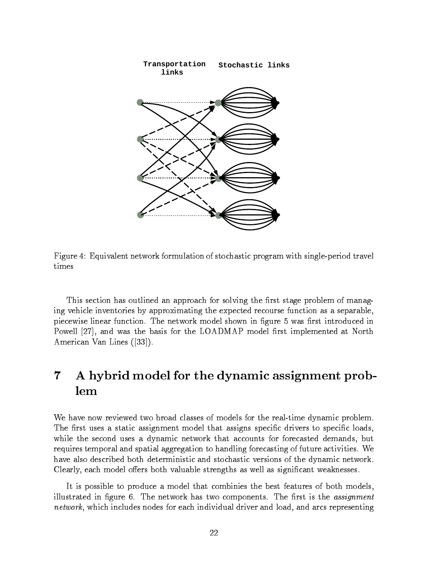

Figure 4: Equivalent network formulation of stochastic program with single-period travel times

This section has outlined an approach for solving the first stage problem of managing vehicle inventories by approximating the expected recourse function as a separable, piecewise linear function. The network model shown in figure 5 was first introduced in Powell [27], and was the basis for the LOADMAP model first implemented at North American Van Lines ([33]).

## A hybrid model for the dynamic assignment prob- $\overline{7}$

We have now reviewed two broad classes of models for the real-time dynamic problem. The first uses a static assignment model that assigns specific drivers to specific loads, while the second uses a dynamic network that accounts for forecasted demands, but requires temporal and spatial aggregation to handling forecasting of future activities. We have also described both deterministic and stochastic versions of the dynamic network. Clearly, each model offers both valuable strengths as well as significant weaknesses.

It is possible to produce a model that combinies the best features of both models, illustrated in figure 6. The network has two components. The first is the assignment network, which includes nodes for each individual driver and load, and arcs representing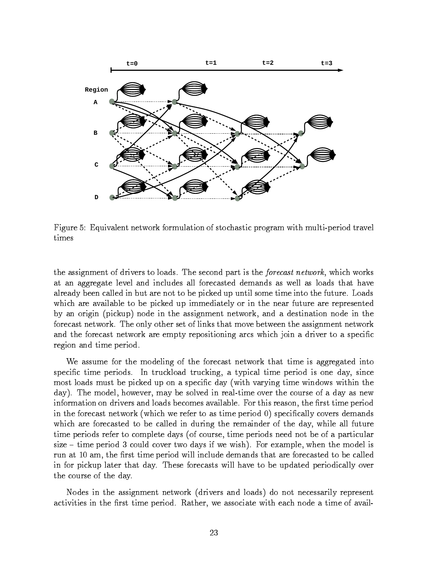

Figure 5: Equivalent network formulation of stochastic program with multi-period travel times

the assignment of drivers to loads. The second part is the forecast network, which works at an aggregate level and includes all forecasted demands as well as loads that have already been called in but are not to be picked up until some time into the future. Loads which are available to be picked up immediately or in the near future are represented by an origin (pickup) node in the assignment network, and a destination node in the forecast network. The only other set of links that move between the assignment network and the forecast network are empty repositioning arcs which join a driver to a specific region and time period.

We assume for the modeling of the forecast network that time is aggregated into specific time periods. In truckload trucking, a typical time period is one day, since most loads must be picked up on a specic day (with varying time windows within the day). The model, however, may be solved in real-time over the course of a day as new information on drivers and loads becomes available. For this reason, the first time period in the forecast network (which we refer to as time period 0) specifically covers demands which are forecasted to be called in during the remainder of the day, while all future time periods refer to complete days (of course, time periods need not be of a particular size  $-$  time period 3 could cover two days if we wish). For example, when the model is run at 10 am, the first time period will include demands that are forecasted to be called in for pickup later that day. These forecasts will have to be updated periodically over the course of the day.

Nodes in the assignment network (drivers and loads) do not necessarily represent activities in the first time period. Rather, we associate with each node a time of avail-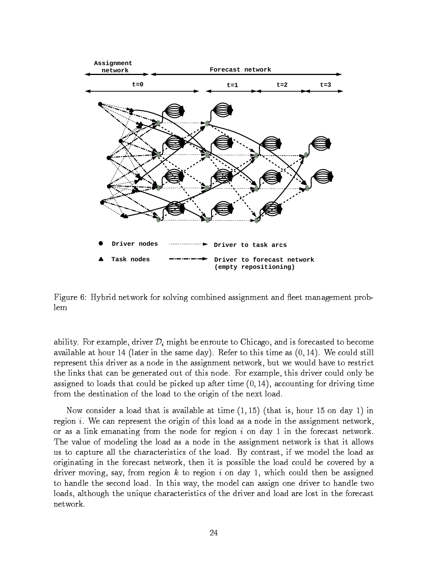

Figure 6: Hybrid network for solving combined assignment and fleet management problem

ability. For example, driver  $\mathcal{D}_i$  might be enroute to Chicago, and is forecasted to become available at hour 14 (later in the same day). Refer to this time as  $(0, 14)$ . We could still represent this driver as a node in the assignment network, but we would have to restrict the links that can be generated out of this node. For example, this driver could only be assigned to loads that could be picked up after time  $(0, 14)$ , accounting for driving time from the destination of the load to the origin of the next load.

Now consider a load that is available at time  $(1, 15)$  (that is, hour 15 on day 1) in region  $i$ . We can represent the origin of this load as a node in the assignment network, or as a link emanating from the node for region  $i$  on day 1 in the forecast network. The value of modeling the load as a node in the assignment network is that it allows us to capture all the characteristics of the load. By contrast, if we model the load as originating in the forecast network, then it is possible the load could be covered by a driver moving, say, from region  $k$  to region  $i$  on day 1, which could then be assigned to handle the second load. In this way, the model can assign one driver to handle two loads, although the unique characteristics of the driver and load are lost in the forecast network.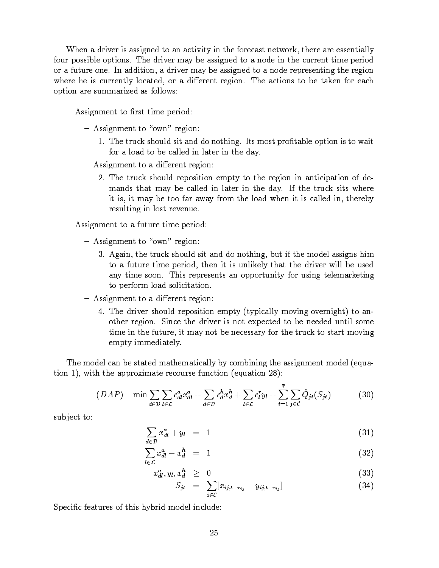When a driver is assigned to an activity in the forecast network, there are essentially four possible options. The driver may be assigned to a node in the current time period or a future one. In addition, a driver may be assigned to a node representing the region where he is currently located, or a different region. The actions to be taken for each option are summarized as follows:

Assignment to first time period:

- $-$  Assignment to "own" region:
	- 1. The truck should sit and do nothing. Its most protable option is to wait for a load to be called in later in the day.
- $-$  Assignment to a different region:
	- 2. The truck should reposition empty to the region in anticipation of demands that may be called in later in the day. If the truck sits where it is, it may be too far away from the load when it is called in, thereby resulting in lost revenue.

Assignment to a future time period:

- $-$  Assignment to "own" region:
	- 3. Again, the truck should sit and do nothing, but if the model assigns him to a future time period, then it is unlikely that the driver will be used any time soon. This represents an opportunity for using telemarketing to perform load solicitation.
- Assignment to a different region:
	- 4. The driver should reposition empty (typically moving overnight) to another region. Since the driver is not expected to be needed until some time in the future, it may not be necessary for the truck to start moving empty immediately.

The model can be stated mathematically by combining the assignment model (equation 1), with the approximate recourse function (equation 28):

$$
(DAP) \quad \min \sum_{d \in \mathcal{D}} \sum_{l \in \mathcal{L}} c_{dl}^a x_{dl}^a + \sum_{d \in \mathcal{D}} c_d^h x_d^h + \sum_{l \in \mathcal{L}} c_l^r y_l + \sum_{t=1}^{\bar{\tau}} \sum_{j \in \mathcal{C}} \hat{Q}_{jt}(S_{jt}) \tag{30}
$$

sub ject to:

$$
\sum_{d \in \mathcal{D}} x_{dl}^a + y_l = 1 \tag{31}
$$

$$
\sum_{l \in \mathcal{L}} x_{dl}^a + x_d^h = 1 \tag{32}
$$

$$
x_{dl}^a, y_l, x_d^h \geq 0 \tag{33}
$$

$$
S_{jt} = \sum_{i \in \mathcal{C}} [x_{ij,t-\tau_{ij}} + y_{ij,t-\tau_{ij}}]
$$
\n(34)

Specific features of this hybrid model include: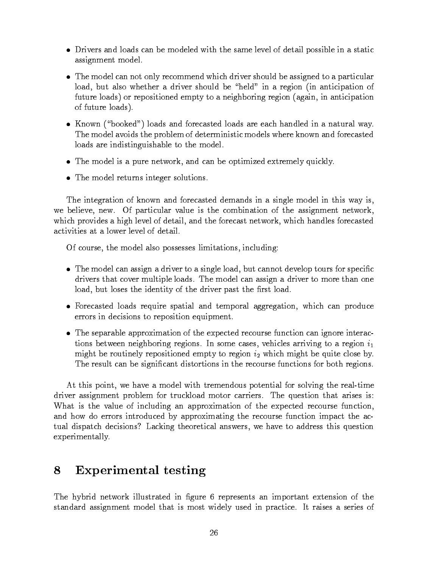- $\bullet$  Drivers and loads can be modeled with the same level of detail possible in a static  $\phantom{a}$ assignment model.
- $\bullet$  -the model can not only recommend which driver should be assigned to a particular  $\bullet$ load, but also whether a driver should be "held" in a region (in anticipation of future loads) or repositioned empty to a neighboring region (again, in anticipation of future loads).
- $\bullet$  Known ("booked") loads and forecasted loads are each handled in a natural way. The model avoids the problem of deterministic models where known and forecasted loads are indistinguishable to the model.
- $\bullet$  The model is a pure network, and can be optimized extremely quickly.
- $\bullet$  The model returns integer solutions.  $\blacksquare$

The integration of known and forecasted demands in a single model in this way is, we believe, new. Of particular value is the combination of the assignment network, which provides a high level of detail, and the forecast network, which handles forecasted activities at a lower level of detail.

Of course, the model also possesses limitations, including:

- $\bullet$  . The model can assign a driver to a single load, but cannot develop tours for specific  $\bullet$ drivers that cover multiple loads. The model can assign a driver to more than one load, but loses the identity of the driver past the first load.
- $\bullet$  rorecasted loads require spatial and temporal aggregation, which can produce errors in decisions to reposition equipment.
- $\bullet$  The separable approximation of the expected recourse function can ignore interactions between neighboring regions. In some cases, vehicles arriving to a region  $i_1$ might be routinely repositioned empty to region  $i_2$  which might be quite close by. The result can be signicant distortions in the recourse functions for both regions.

At this point, we have a model with tremendous potential for solving the real-time driver assignment problem for truckload motor carriers. The question that arises is: What is the value of including an approximation of the expected recourse function, and how do errors introduced by approximating the recourse function impact the actual dispatch decisions? Lacking theoretical answers, we have to address this question experimentally.

## 8 Experimental testing

The hybrid network illustrated in figure 6 represents an important extension of the standard assignment model that is most widely used in practice. It raises a series of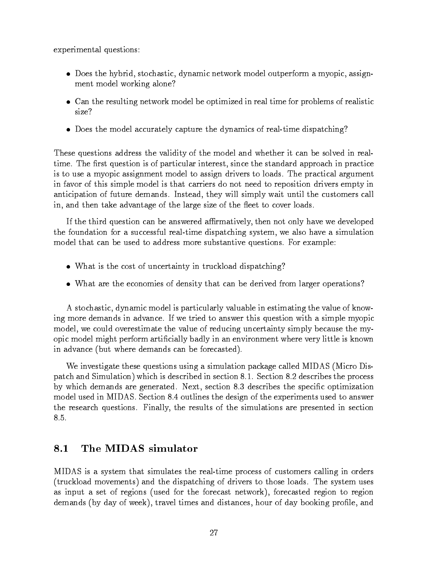experimental questions:

- $\bullet$  Does the hybrid, stochastic, dynamic network model outperform a myopic, assignment model working alone?
- $\bullet$  -Can the resulting network model be optimized in real time for problems of realistic  $\bullet$
- $\bullet$  -Does the model accurately capture the dynamics of real-time dispatching?

These questions address the validity of the model and whether it can be solved in realtime. The first question is of particular interest, since the standard approach in practice is to use a myopic assignment model to assign drivers to loads. The practical argument in favor of this simple model is that carriers do not need to reposition drivers empty in anticipation of future demands. Instead, they will simply wait until the customers call in, and then take advantage of the large size of the fleet to cover loads.

If the third question can be answered affirmatively, then not only have we developed the foundation for a successful real-time dispatching system, we also have a simulation model that can be used to address more substantive questions. For example:

- $\bullet$  ) what is the cost of uncertainty in truckload dispatching?
- What are the economies of density that can be derived from larger operations?

A stochastic, dynamic model is particularly valuable in estimating the value of knowing more demands in advance. If we tried to answer this question with a simple myopic model, we could overestimate the value of reducing uncertainty simply because the myopic model might perform articially badly in an environment where very little is known in advance (but where demands can be forecasted).

We investigate these questions using a simulation package called MIDAS (Micro Dispatch and Simulation) which is described in section 8.1. Section 8.2 describes the process by which demands are generated. Next, section 8.3 describes the specic optimization model used in MIDAS. Section 8.4 outlines the design of the experiments used to answer the research questions. Finally, the results of the simulations are presented in section 8.5.

#### 8.1 The MIDAS simulator

MIDAS is a system that simulates the real-time process of customers calling in orders (truckload movements) and the dispatching of drivers to those loads. The system uses as input a set of regions (used for the forecast network), forecasted region to region demands (by day of week), travel times and distances, hour of day booking profile, and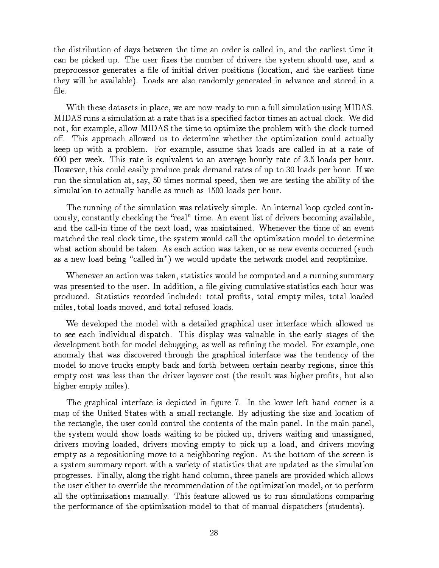the distribution of days between the time an order is called in, and the earliest time it can be picked up. The user fixes the number of drivers the system should use, and a preprocessor generates a le of initial driver positions (location, and the earliest time they will be available). Loads are also randomly generated in advance and stored in a file.

With these datasets in place, we are now ready to run a full simulation using MIDAS. MIDAS runs a simulation at a rate that is a specied factor times an actual clock. We did not, for example, allow MIDAS the time to optimize the problem with the clock turned off. This approach allowed us to determine whether the optimization could actually keep up with a problem. For example, assume that loads are called in at a rate of 600 per week. This rate is equivalent to an average hourly rate of 3.5 loads per hour. However, this could easily produce peak demand rates of up to 30 loads per hour. If we run the simulation at, say, 50 times normal speed, then we are testing the ability of the simulation to actually handle as much as 1500 loads per hour.

The running of the simulation was relatively simple. An internal loop cycled continuously, constantly checking the "real" time. An event list of drivers becoming available, and the call-in time of the next load, was maintained. Whenever the time of an event matched the real clock time, the system would call the optimization model to determine what action should be taken. As each action was taken, or as new events occurred (such as a new load being "called in") we would update the network model and reoptimize.

Whenever an action was taken, statistics would be computed and a running summary was presented to the user. In addition, a file giving cumulative statistics each hour was produced. Statistics recorded included: total prots, total empty miles, total loaded miles, total loads moved, and total refused loads.

We developed the model with a detailed graphical user interface which allowed us to see each individual dispatch. This display was valuable in the early stages of the development both for model debugging, as well as refining the model. For example, one anomaly that was discovered through the graphical interface was the tendency of the model to move trucks empty back and forth between certain nearby regions, since this empty cost was less than the driver layover cost (the result was higher profits, but also higher empty miles).

The graphical interface is depicted in figure 7. In the lower left hand corner is a map of the United States with a small rectangle. By adjusting the size and location of the rectangle, the user could control the contents of the main panel. In the main panel, the system would show loads waiting to be picked up, drivers waiting and unassigned, drivers moving loaded, drivers moving empty to pick up a load, and drivers moving empty as a repositioning move to a neighboring region. At the bottom of the screen is a system summary report with a variety of statistics that are updated as the simulation progresses. Finally, along the right hand column, three panels are provided which allows the user either to override the recommendation of the optimization model, or to perform all the optimizations manually. This feature allowed us to run simulations comparing the performance of the optimization model to that of manual dispatchers (students).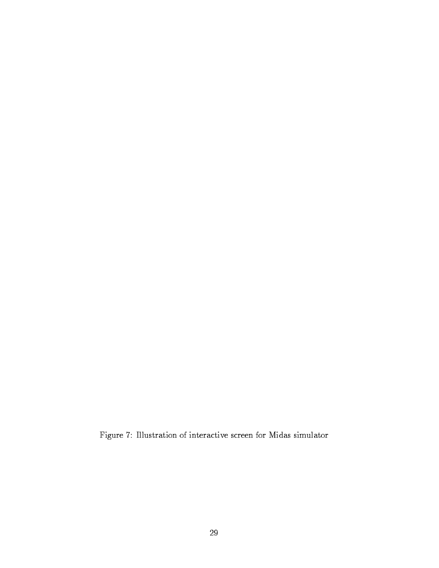Figure 7: Illustration of interactive screen for Midas simulator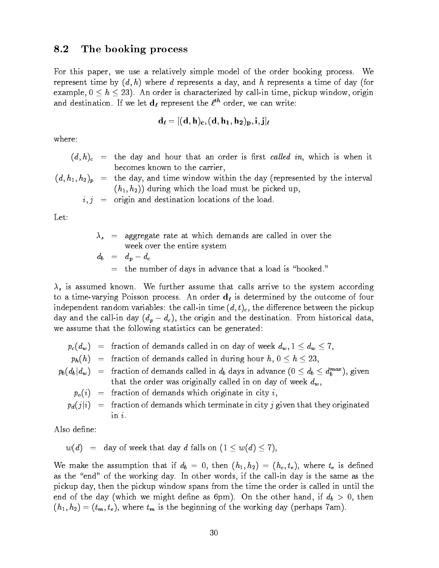### 8.2 The booking process

For this paper, we use a relatively simple model of the order booking process. We represent time by  $(d, h)$  where d represents a day, and h represents a time of day (for example,  $0 \le h \le 23$ ). An order is characterized by call-in time, pickup window, origin and destination. If we let  $\mathbf{a}_\ell$  represent the  $\ell^\infty$  order, we can write:

$$
\mathbf{d}_{\boldsymbol{\ell}} = [(\mathbf{d},\mathbf{h})_{\mathbf{c}},(\mathbf{d},\mathbf{h_1},\mathbf{h_2})_{\mathbf{p}},\mathbf{i},\mathbf{j}]_{\boldsymbol{\ell}}
$$

where:

- $(d, h)$ <sub>c</sub> = the day and hour that an order is first called in, which is when it becomes known to the carrier,
- $(d, h_1, h_2)_p$  = the day, and time window within the day (represented by the interval  $(h_1, h_2)$  during which the load must be picked up,

 $i, j$  = origin and destination locations of the load.

Let:

 $\lambda_s$  = aggregate rate at which demands are called in over the week over the entire system  $d_b = d_p - d_c$  $=$  the number of days in advance that a load is "booked."

 $\lambda_s$  is assumed known. We further assume that calls arrive to the system according to a time-varying Poisson process. An order  $d<sub>\ell</sub>$  is determined by the outcome of four independent random variables: the call-in time  $(d, t)_c$ , the difference between the pickup day and the call-in day  $(d_p - d_c)$ , the origin and the destination. From historical data, we assume that the following statistics can be generated:

- $p_c(d_w)$  = fraction of demands called in on day of week  $d_w$ ,  $1 \le d_w \le 7$ ,
- $p_h(h)$  = fraction of demands called in during hour  $h, 0 \le h \le 23$ ,
- $p_b(d_b|d_w)$  = fraction of demands called in  $d_b$  days in advance  $(0 \leq d_b \leq d_b^{max})$ , given that the order was originally called in on day of week  $d_w$ ,
	- $p_o(i)$  = fraction of demands which originate in city i,
	- $p_d(j|i)$  = fraction of demands which terminate in city j given that they originated  $in i$

Also define:

$$
w(d) = \text{day of week that day } d \text{ falls on } (1 \leq w(d) \leq 7),
$$

We make the assumption that if  $d_b = 0$ , then  $(h_1, h_2) = (h_c, t_e)$ , where  $t_e$  is defined as the "end" of the working day. In other words, if the call-in day is the same as the pickup day, then the pickup window spans from the time the order is called in until the end of the day (which we might define as 6pm). On the other hand, if  $d_b > 0$ , then  $(h_1, h_2)=(t_m, t_e)$ , where  $t_m$  is the beginning of the working day (perhaps 7am).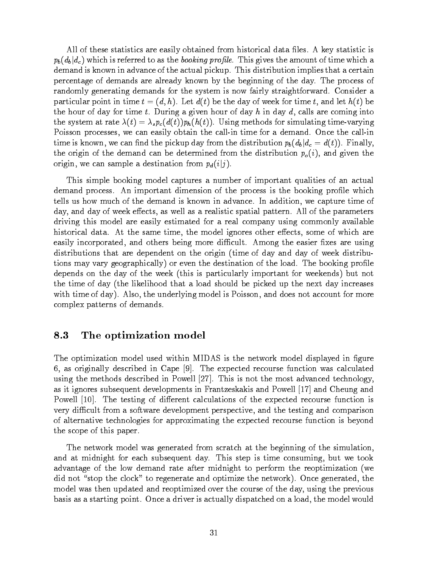All of these statistics are easily obtained from historical data files. A key statistic is  $p_b(d_b|d_c)$  which is referred to as the booking profile. This gives the amount of time which a demand is known in advance of the actual pickup. This distribution implies that a certain percentage of demands are already known by the beginning of the day. The process of randomly generating demands for the system is now fairly straightforward. Consider a particular point in time  $t = (d, h)$ . Let  $d(t)$  be the day of week for time t, and let  $h(t)$  be the hour of day for time  $t$ . During a given hour of day  $h$  in day  $d$ , calls are coming into the system at rate  $\lambda(t) = \lambda_s p_c(d(t)) p_h(h(t))$ . Using methods for simulating time-varying Poisson processes, we can easily obtain the call-in time for a demand. Once the call-in time is known, we can find the pickup day from the distribution  $p_b(d_b|d_c = d(t))$ . Finally, the origin of the demand can be determined from the distribution  $p_o(i)$ , and given the origin, we can sample a destination from  $p_d(i|j)$ .

This simple booking model captures a number of important qualities of an actual demand process. An important dimension of the process is the booking profile which tells us how much of the demand is known in advance. In addition, we capture time of day, and day of week effects, as well as a realistic spatial pattern. All of the parameters driving this model are easily estimated for a real company using commonly available historical data. At the same time, the model ignores other effects, some of which are easily incorporated, and others being more difficult. Among the easier fixes are using distributions that are dependent on the origin (time of day and day of week distributions may vary geographically) or even the destination of the load. The booking profile depends on the day of the week (this is particularly important for weekends) but not the time of day (the likelihood that a load should be picked up the next day increases with time of day). Also, the underlying model is Poisson, and does not account for more complex patterns of demands.

### 8.3 The optimization model

The optimization model used within MIDAS is the network model displayed in figure 6, as originally described in Cape [9]. The expected recourse function was calculated using the methods described in Powell [27]. This is not the most advanced technology, as it ignores subsequent developments in Frantzeskakis and Powell [17] and Cheung and Powell [10]. The testing of different calculations of the expected recourse function is very difficult from a software development perspective, and the testing and comparison of alternative technologies for approximating the expected recourse function is beyond the scope of this paper.

The network model was generated from scratch at the beginning of the simulation, and at midnight for each subsequent day. This step is time consuming, but we took advantage of the low demand rate after midnight to perform the reoptimization (we did not "stop the clock" to regenerate and optimize the network). Once generated, the model was then updated and reoptimized over the course of the day, using the previous basis as a starting point. Once a driver is actually dispatched on a load, the model would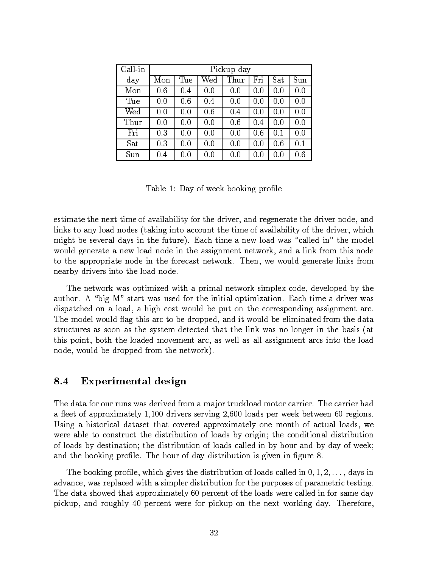| Call in | Pickup day |     |     |      |     |     |              |
|---------|------------|-----|-----|------|-----|-----|--------------|
| day     | Mon        | Tue | Wed | Thur | Fri | Sat | $\bar{S}$ un |
| Mon     | 0.6        | 0.4 | 0.0 | 0.0  | 0.0 | 0.0 | 0.0          |
| Tue     | 0.0        | 0.6 | 0.4 | 0.0  | 0.0 | 0.0 | 0.0          |
| Wed     | 0.0        | 0.0 | 0.6 | 0.4  | 0.0 | 0.0 | 0.0          |
| Thur    | 0.0        | 0.0 | 0.0 | 0.6  | 0.4 | 0.0 | 0.0          |
| Fri     | 0.3        | 0.0 | 0.0 | 0.0  | 0.6 | 0.1 | 0.0          |
| Sat     | 0.3        | 0.0 | 0.0 | 0.0  | 0.0 | 0.6 | 0.1          |
| Sun     | $0.4\,$    | 0.0 | 0.0 | 0.0  | 0.0 | 0.0 | 0.6          |

Table 1: Day of week booking profile

estimate the next time of availability for the driver, and regenerate the driver node, and links to any load nodes (taking into account the time of availability of the driver, which might be several days in the future). Each time a new load was \called in" the model would generate a new load node in the assignment network, and a link from this node to the appropriate node in the forecast network. Then, we would generate links from nearby drivers into the load node.

The network was optimized with a primal network simplex code, developed by the author. A "big M" start was used for the initial optimization. Each time a driver was dispatched on a load, a high cost would be put on the corresponding assignment arc. The model would flag this arc to be dropped, and it would be eliminated from the data structures as soon as the system detected that the link was no longer in the basis (at this point, both the loaded movement arc, as well as all assignment arcs into the load node, would be dropped from the network).

### 8.4 Experimental design

The data for our runs was derived from a major truckload motor carrier. The carrier had a fleet of approximately 1,100 drivers serving 2,600 loads per week between 60 regions. Using a historical dataset that covered approximately one month of actual loads, we were able to construct the distribution of loads by origin; the conditional distribution of loads by destination; the distribution of loads called in by hour and by day of week; and the booking profile. The hour of day distribution is given in figure 8

The booking profile, which gives the distribution of loads called in  $0,1,2,\ldots$  , days in advance, was replaced with a simpler distribution for the purposes of parametric testing. The data showed that approximately 60 percent of the loads were called in for same day pickup, and roughly 40 percent were for pickup on the next working day. Therefore,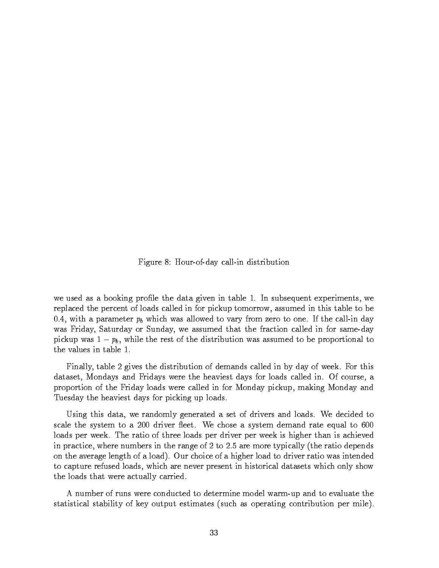Figure 8: Hour-of-day call-in distribution

we used as a booking prole the data given in table 1. In subsequent experiments, we replaced the percent of loads called in for pickup tomorrow, assumed in this table to be 0.4, with a parameter  $p_b$  which was allowed to vary from zero to one. If the call-in day was Friday, Saturday or Sunday, we assumed that the fraction called in for same-day pickup was  $1 - p_b$ , while the rest of the distribution was assumed to be proportional to the values in table 1.

Finally, table 2 gives the distribution of demands called in by day of week. For this dataset, Mondays and Fridays were the heaviest days for loads called in. Of course, a proportion of the Friday loads were called in for Monday pickup, making Monday and Tuesday the heaviest days for picking up loads.

Using this data, we randomly generated a set of drivers and loads. We decided to scale the system to a 200 driver fleet. We chose a system demand rate equal to 600 loads per week. The ratio of three loads per driver per week is higher than is achieved in practice, where numbers in the range of 2 to 2:5 are more typically (the ratio depends on the average length of a load). Our choice of a higher load to driver ratio was intended to capture refused loads, which are never present in historical datasets which only show the loads that were actually carried.

A number of runs were conducted to determine model warm-up and to evaluate the statistical stability of key output estimates (such as operating contribution per mile).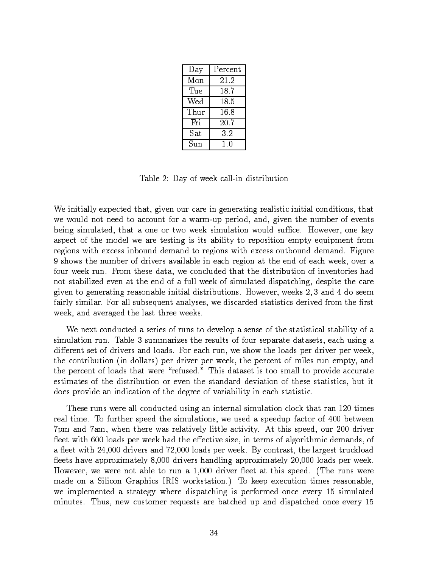| Day  | Percent |
|------|---------|
| Mon  | 21.2    |
| Tue  | 18.7    |
| Wed  | 18.5    |
| Thur | 16.8    |
| Fri  | 20.7    |
| Sat  | 3.2     |
| Sun  | 10      |

Table 2: Day of week call-in distribution

We initially expected that, given our care in generating realistic initial conditions, that we would not need to account for a warm-up period, and, given the number of events being simulated, that a one or two week simulation would suffice. However, one key aspect of the model we are testing is its ability to reposition empty equipment from regions with excess inbound demand to regions with excess outbound demand. Figure 9 shows the number of drivers available in each region at the end of each week, over a four week run. From these data, we concluded that the distribution of inventories had not stabilized even at the end of a full week of simulated dispatching, despite the care given to generating reasonable initial distributions. However, weeks 2; 3 and 4 do seem fairly similar. For all subsequent analyses, we discarded statistics derived from the first week, and averaged the last three weeks.

We next conducted a series of runs to develop a sense of the statistical stability of a simulation run. Table 3 summarizes the results of four separate datasets, each using a different set of drivers and loads. For each run, we show the loads per driver per week, the contribution (in dollars) per driver per week, the percent of miles run empty, and the percent of loads that were "refused." This dataset is too small to provide accurate estimates of the distribution or even the standard deviation of these statistics, but it does provide an indication of the degree of variability in each statistic.

These runs were all conducted using an internal simulation clock that ran 120 times real time. To further speed the simulations, we used a speedup factor of 400 between 7pm and 7am, when there was relatively little activity. At this speed, our 200 driver fleet with 600 loads per week had the effective size, in terms of algorithmic demands, of a fleet with 24,000 drivers and 72,000 loads per week. By contrast, the largest truckload fleets have approximately 8,000 drivers handling approximately 20,000 loads per week. However, we were not able to run a  $1,000$  driver fleet at this speed. (The runs were made on a Silicon Graphics IRIS workstation.) To keep execution times reasonable, we implemented a strategy where dispatching is performed once every 15 simulated minutes. Thus, new customer requests are batched up and dispatched once every 15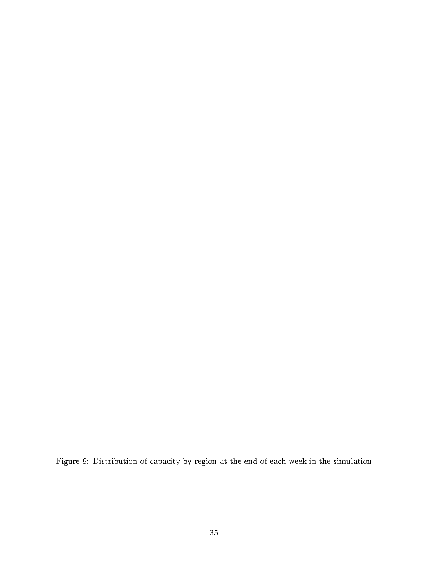Figure 9: Distribution of capacity by region at the end of each week in the simulation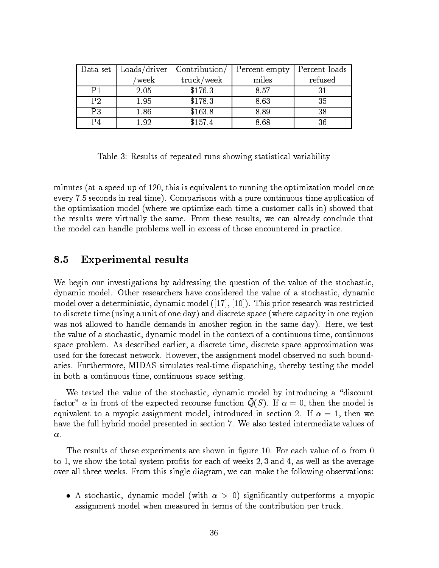| Data set | Loads/driver | Contribution/ | Percent empty | Percent loads |
|----------|--------------|---------------|---------------|---------------|
|          | week         | truck/week    | miles         | refused       |
| P1       | 2.05         | \$176.3       | 8.57          |               |
| P2       | 1.95         | \$178.3       | 8.63          |               |
| P3       | 1.86         | \$163.8       | 8.89          |               |
| P4       | l 92         | \$157.4       | 8.68          |               |

Table 3: Results of repeated runs showing statistical variability

minutes (at a speed up of 120, this is equivalent to running the optimization model once every 7.5 seconds in real time). Comparisons with a pure continuous time application of the optimization model (where we optimize each time a customer calls in) showed that the results were virtually the same. From these results, we can already conclude that the model can handle problems well in excess of those encountered in practice.

### 8.5 Experimental results

We begin our investigations by addressing the question of the value of the stochastic, dynamic model. Other researchers have considered the value of a stochastic, dynamic model over a deterministic, dynamic model  $([17], [10])$ . This prior research was restricted to discrete time (using a unit of one day) and discrete space (where capacity in one region was not allowed to handle demands in another region in the same day). Here, we test the value of a stochastic, dynamic model in the context of a continuous time, continuous space problem. As described earlier, a discrete time, discrete space approximation was used for the forecast network. However, the assignment model observed no such boundaries. Furthermore, MIDAS simulates real-time dispatching, thereby testing the model in both a continuous time, continuous space setting.

We tested the value of the stochastic, dynamic model by introducing a "discount" factor"  $\alpha$  in front of the expected recourse function  $Q(S)$ . If  $\alpha = 0$ , then the model is equivalent to a myopic assignment model, introduced in section 2. If  $\alpha = 1$ , then we have the full hybrid model presented in section 7. We also tested intermediate values of  $\alpha$ .

The results of these experiments are shown in figure 10. For each value of  $\alpha$  from 0 to 1, we show the total system profits for each of weeks  $2,3$  and  $4$ , as well as the average over all three weeks. From this single diagram, we can make the following observations:

 $\bullet$  A stochastic, dynamic model (with  $\alpha$   $>$  0) significantly outperforms a myopic assignment model when measured in terms of the contribution per truck.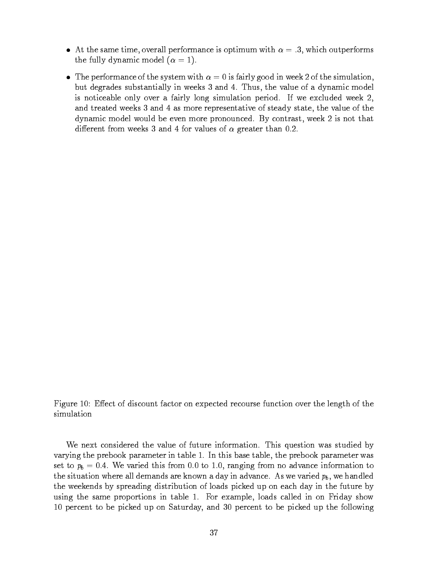- $\bullet$  -At the same time, overall performance is optimum with  $\alpha = .3,$  which outperforms the fully dynamic model  $(\alpha = 1)$ .
- $\bullet$  -the performance of the system with  $\alpha = 0$  is fairly good in week 2 of the simulation, but degrades substantially in weeks 3 and 4. Thus, the value of a dynamic model is noticeable only over a fairly long simulation period. If we excluded week 2, and treated weeks 3 and 4 as more representative of steady state, the value of the dynamic model would be even more pronounced. By contrast, week 2 is not that different from weeks 3 and 4 for values of  $\alpha$  greater than 0.2.

Figure 10: Effect of discount factor on expected recourse function over the length of the simulation

We next considered the value of future information. This question was studied by varying the prebook parameter in table 1. In this base table, the prebook parameter was set to  $p_b = 0.4$ . We varied this from 0.0 to 1.0, ranging from no advance information to the situation where all demands are known a day in advance. As we varied  $p_b$ , we handled the weekends by spreading distribution of loads picked up on each day in the future by using the same proportions in table 1. For example, loads called in on Friday show 10 percent to be picked up on Saturday, and 30 percent to be picked up the following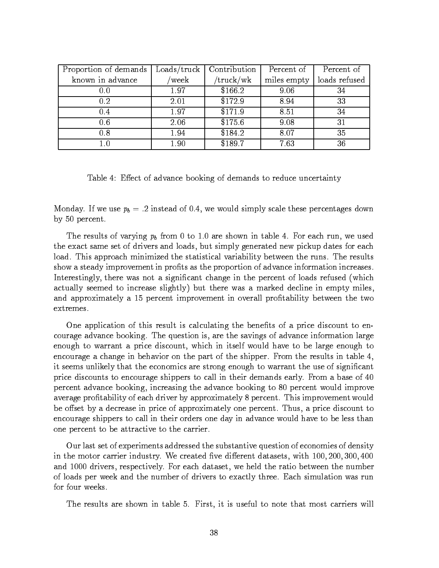| Proportion of demands |       | $\text{Loads}/\text{truck}$   Contribution | Percent of  | Percent of    |
|-----------------------|-------|--------------------------------------------|-------------|---------------|
| known in advance      | week/ | truck/wk/                                  | miles empty | loads refused |
| 0.0                   | 1.97  | \$166.2                                    | 9.06        | 34            |
| 0.2                   | 2.01  | \$172.9                                    | 8.94        | 33            |
| 0.4                   | 1.97  | \$171.9                                    | 8.51        | 34            |
| 0.6                   | 2.06  | \$175.6                                    | 9.08        | 31            |
| 0.8                   | 1.94  | \$184.2                                    | 8.07        | 35            |
| $1.0\,$               | 1.90  | \$189.7                                    | 7.63        | 36            |

Table 4: Effect of advance booking of demands to reduce uncertainty

Monday. If we use  $p_b = .2$  instead of 0.4, we would simply scale these percentages down by 50 percent.

The results of varying  $p_b$  from 0 to 1.0 are shown in table 4. For each run, we used the exact same set of drivers and loads, but simply generated new pickup dates for each load. This approach minimized the statistical variability between the runs. The results show a steady improvement in profits as the proportion of advance information increases. Interestingly, there was not a signicant change in the percent of loads refused (which actually seemed to increase slightly) but there was a marked decline in empty miles, and approximately a 15 percent improvement in overall profitability between the two extremes.

One application of this result is calculating the benefits of a price discount to encourage advance booking. The question is, are the savings of advance information large enough to warrant a price discount, which in itself would have to be large enough to encourage a change in behavior on the part of the shipper. From the results in table 4, it seems unlikely that the economics are strong enough to warrant the use of signicant price discounts to encourage shippers to call in their demands early. From a base of 40 percent advance booking, increasing the advance booking to 80 percent would improve average profitability of each driver by approximately 8 percent. This improvement would be offset by a decrease in price of approximately one percent. Thus, a price discount to encourage shippers to call in their orders one day in advance would have to be less than one percent to be attractive to the carrier.

Our last set of experiments addressed the substantive question of economies of density in the motor carrier industry. We created five different datasets, with  $100, 200, 300, 400$ and 1000 drivers, respectively. For each dataset, we held the ratio between the number of loads per week and the number of drivers to exactly three. Each simulation was run for four weeks.

The results are shown in table 5. First, it is useful to note that most carriers will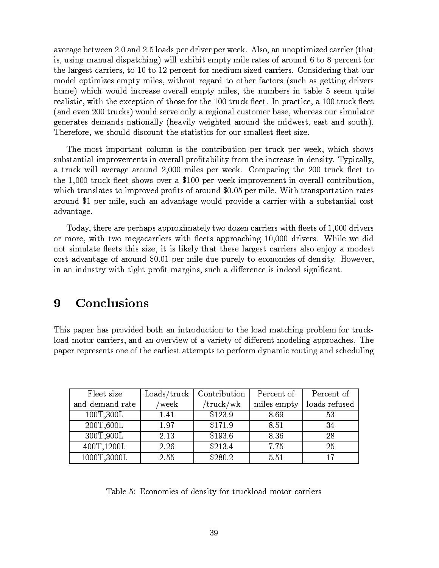average between 2:0 and 2:5 loads per driver per week. Also, an unoptimized carrier (that is, using manual dispatching) will exhibit empty mile rates of around 6 to 8 percent for the largest carriers, to 10 to 12 percent for medium sized carriers. Considering that our model optimizes empty miles, without regard to other factors (such as getting drivers home) which would increase overall empty miles, the numbers in table 5 seem quite realistic, with the exception of those for the 100 truck fleet. In practice, a 100 truck fleet (and even 200 trucks) would serve only a regional customer base, whereas our simulator generates demands nationally (heavily weighted around the midwest, east and south). Therefore, we should discount the statistics for our smallest fleet size.

The most important column is the contribution per truck per week, which shows substantial improvements in overall profitability from the increase in density. Typically, a truck will average around 2,000 miles per week. Comparing the 200 truck fleet to the 1,000 truck fleet shows over a \$100 per week improvement in overall contribution, which translates to improved profits of around \$0.05 per mile. With transportation rates around \$1 per mile, such an advantage would provide a carrier with a substantial cost advantage.

Today, there are perhaps approximately two dozen carriers with fleets of 1,000 drivers or more, with two megacarriers with fleets approaching 10,000 drivers. While we did not simulate fleets this size, it is likely that these largest carriers also enjoy a modest cost advantage of around \$0.01 per mile due purely to economies of density. However, in an industry with tight profit margins, such a difference is indeed significant.

## 9 Conclusions

This paper has provided both an introduction to the load matching problem for truckload motor carriers, and an overview of a variety of different modeling approaches. The paper represents one of the earliest attempts to perform dynamic routing and scheduling

| Fleet size      | $\text{loads}/\text{truck}$ | Contribution | Percent of  | Percent of    |
|-----------------|-----------------------------|--------------|-------------|---------------|
| and demand rate | week                        | truck/wk/    | miles empty | loads refused |
| 100T,300L       | 1.41                        | \$123.9      | 8.69        | 53            |
| 200T,600L       | 1.97                        | \$171.9      | 8.51        | 34            |
| 300T,900L       | 2.13                        | \$193.6      | 8.36        | 28            |
| 400T,1200L      | 2.26                        | \$213.4      | 7.75        | 25            |
| 1000T,3000L     | 2.55                        | \$280.2      | 5.51        | 17            |

Table 5: Economies of density for truckload motor carriers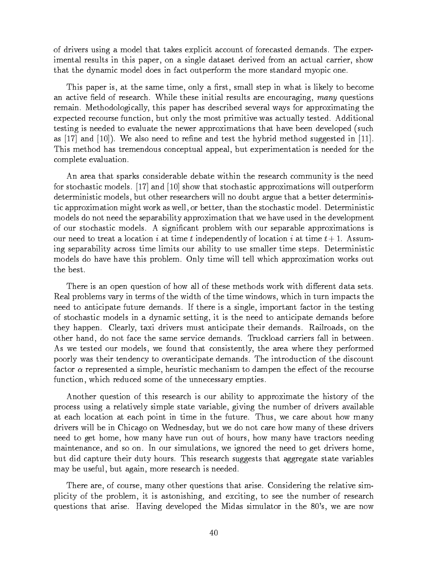of drivers using a model that takes explicit account of forecasted demands. The experimental results in this paper, on a single dataset derived from an actual carrier, show that the dynamic model does in fact outperform the more standard myopic one.

This paper is, at the same time, only a first, small step in what is likely to become an active field of research. While these initial results are encouraging, many questions remain. Methodologically, this paper has described several ways for approximating the expected recourse function, but only the most primitive was actually tested. Additional testing is needed to evaluate the newer approximations that have been developed (such as  $|17|$  and  $|10|$ ). We also need to refine and test the hybrid method suggested in  $|11|$ . This method has tremendous conceptual appeal, but experimentation is needed for the complete evaluation.

An area that sparks considerable debate within the research community is the need for stochastic models. [17] and [10] show that stochastic approximations will outperform deterministic models, but other researchers will no doubt argue that a better deterministic approximation might work as well, or better, than the stochastic model. Deterministic models do not need the separability approximation that we have used in the development of our stochastic models. A signicant problem with our separable approximations is our need to treat a location i at time t independently of location i at time  $t + 1$ . Assuming separability across time limits our ability to use smaller time steps. Deterministic models do have have this problem. Only time will tell which approximation works out the best.

There is an open question of how all of these methods work with different data sets. Real problems vary in terms of the width of the time windows, which in turn impacts the need to anticipate future demands. If there is a single, important factor in the testing of stochastic models in a dynamic setting, it is the need to anticipate demands before they happen. Clearly, taxi drivers must anticipate their demands. Railroads, on the other hand, do not face the same service demands. Truckload carriers fall in between. As we tested our models, we found that consistently, the area where they performed poorly was their tendency to overanticipate demands. The introduction of the discount factor  $\alpha$  represented a simple, heuristic mechanism to dampen the effect of the recourse function, which reduced some of the unnecessary empties.

Another question of this research is our ability to approximate the history of the process using a relatively simple state variable, giving the number of drivers available at each location at each point in time in the future. Thus, we care about how many drivers will be in Chicago on Wednesday, but we do not care how many of these drivers need to get home, how many have run out of hours, how many have tractors needing maintenance, and so on. In our simulations, we ignored the need to get drivers home, but did capture their duty hours. This research suggests that aggregate state variables may be useful, but again, more research is needed.

There are, of course, many other questions that arise. Considering the relative simplicity of the problem, it is astonishing, and exciting, to see the number of research questions that arise. Having developed the Midas simulator in the 80's, we are now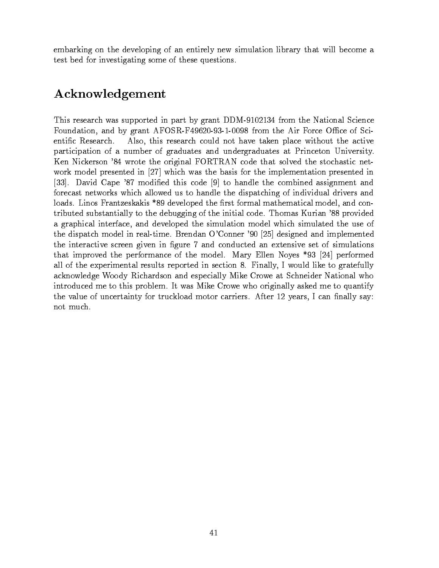embarking on the developing of an entirely new simulation library that will become a test bed for investigating some of these questions.

# Acknowledgement

This research was supported in part by grant DDM-9102134 from the National Science Foundation, and by grant  $AFOSR-F49620-93-1-0098$  from the Air Force Office of Scientic Research. Also, this research could not have taken place without the active participation of a number of graduates and undergraduates at Princeton University. Ken Nickerson '84 wrote the original FORTRAN code that solved the stochastic network model presented in [27] which was the basis for the implementation presented in [33]. David Cape '87 modified this code [9] to handle the combined assignment and forecast networks which allowed us to handle the dispatching of individual drivers and loads. Linos Frantzeskakis \*89 developed the first formal mathematical model, and contributed substantially to the debugging of the initial code. Thomas Kurian '88 provided a graphical interface, and developed the simulation model which simulated the use of the dispatch model in real-time. Brendan O'Conner '90 [25] designed and implemented the interactive screen given in figure 7 and conducted an extensive set of simulations that improved the performance of the model. Mary Ellen Noyes \*93 [24] performed all of the experimental results reported in section 8. Finally, I would like to gratefully acknowledge Woody Richardson and especially Mike Crowe at Schneider National who introduced me to this problem. It was Mike Crowe who originally asked me to quantify the value of uncertainty for truckload motor carriers. After 12 years, I can finally say: not much.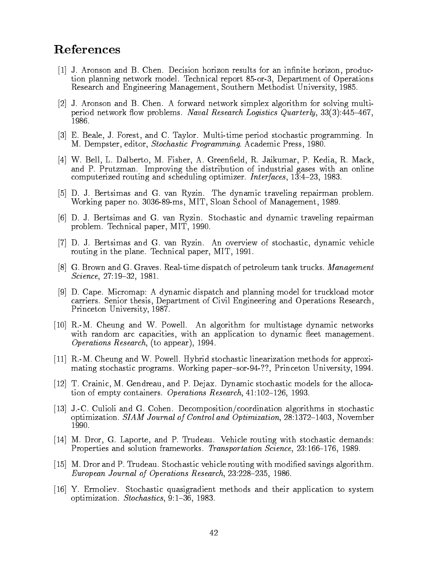# **References**

- $[1]$  J. Aronson and B. Chen. Decision horizon results for an infinite horizon, production planning network model. Technical report 85-or-3, Department of Operations Research and Engineering Management, Southern Methodist University, 1985.
- [2] J. Aronson and B. Chen. A forward network simplex algorithm for solving multiperiod network flow problems. Naval Research Logistics Quarterly,  $33(3):445-467$ , 1986.
- [3] E. Beale, J. Forest, and C. Taylor. Multi-time period stochastic programming. In M. Dempster, editor, Stochastic Programming. Academic Press, 1980.
- [4] W. Bell, L. Dalberto, M. Fisher, A. Greeneld, R. Jaikumar, P. Kedia, R. Mack, and P. Prutzman. Improving the distribution of industrial gases with an online computerized routing and scheduling optimizer. Interfaces,  $13:4-23$ , 1983.
- [5] D. J. Bertsimas and G. van Ryzin. The dynamic traveling repairman problem. Working paper no. 3036-89-ms, MIT, Sloan School of Management, 1989.
- [6] D. J. Bertsimas and G. van Ryzin. Stochastic and dynamic traveling repairman problem. Technical paper, MIT, 1990.
- [7] D. J. Bertsimas and G. van Ryzin. An overview of stochastic, dynamic vehicle routing in the plane. Technical paper, MIT, 1991.
- [8] G. Brown and G. Graves. Real-time dispatch of petroleum tank trucks. Management Science, 27:19-32, 1981.
- [9] D. Cape. Micromap: A dynamic dispatch and planning model for truckload motor carriers. Senior thesis, Department of Civil Engineering and Operations Research, Princeton University, 1987.
- [10] R.-M. Cheung and W. Powell. An algorithm for multistage dynamic networks with random arc capacities, with an application to dynamic fleet management. Operations Research, (to appear), 1994.
- [11] R.-M. Cheung and W. Powell. Hybrid stochastic linearization methods for approximating stochastic programs. Working paper-sor-94-??, Princeton University, 1994.
- [12] T. Crainic, M. Gendreau, and P. Dejax. Dynamic stochastic models for the allocation of empty containers. Operations Research,  $41:102-126$ , 1993.
- [13] J.-C. Culioli and G. Cohen. Decomposition/coordination algorithms in stochastic optimization.  $SIAM$  Journal of Control and Optimization, 28:1372-1403, November 1990.
- [14] M. Dror, G. Laporte, and P. Trudeau. Vehicle routing with stochastic demands: Properties and solution frameworks. Transportation Science, 23:166-176, 1989.
- [15] M. Dror and P. Trudeau. Stochastic vehicle routing with modied savings algorithm. European Journal of Operations Research, 23:228-235, 1986.
- [16] Y. Ermoliev. Stochastic quasigradient methods and their application to system optimization. Stochastics, 9:1-36, 1983.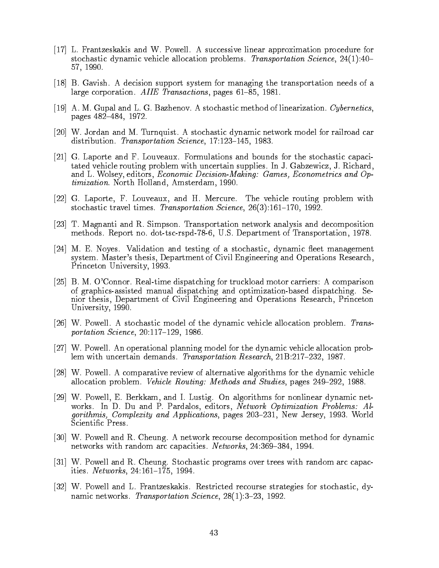- [17] L. Frantzeskakis and W. Powell. A successive linear approximation procedure for stochastic dynamic vehicle allocation problems. Transportation Science,  $24(1):40-$ 57, 1990.
- [18] B. Gavish. A decision support system for managing the transportation needs of a large corporation. AIIE Transactions, pages  $61-85$ , 1981.
- [19] A. M. Gupal and L. G. Bazhenov. A stochastic method of linearization. Cybernetics, pages 482-484, 1972.
- [20] W. Jordan and M. Turnquist. A stochastic dynamic network model for railroad car distribution. Transportation Science, 17:123-145, 1983.
- [21] G. Laporte and F. Louveaux. Formulations and bounds for the stochastic capacitated vehicle routing problem with uncertain supplies. In J. Gabzewicz, J. Richard, and L. Wolsey, editors, Economic Decision-Making: Games, Econometrics and Optimization. North Holland, Amsterdam, 1990.
- [22] G. Laporte, F. Louveaux, and H. Mercure. The vehicle routing problem with stochastic travel times. Transportation Science,  $26(3):161-170$ , 1992.
- [23] T. Magnanti and R. Simpson. Transportation network analysis and decomposition methods. Report no. dot-tsc-rspd-78-6, U.S. Department of Transportation, 1978.
- [24] M. E. Noyes. Validation and testing of a stochastic, dynamic fleet management system. Master's thesis, Department of Civil Engineering and Operations Research, Princeton University, 1993.
- [25] B. M. O'Connor. Real-time dispatching for truckload motor carriers: A comparison of graphics-assisted manual dispatching and optimization-based dispatching. Senior thesis, Department of Civil Engineering and Operations Research, Princeton University, 1990.
- [26] W. Powell. A stochastic model of the dynamic vehicle allocation problem. Transportation Science,  $20:117-129$ , 1986.
- [27] W. Powell. An operational planning model for the dynamic vehicle allocation problem with uncertain demands. Transportation Research, 21B:217-232, 1987.
- [28] W. Powell. A comparative review of alternative algorithms for the dynamic vehicle allocation problem. *Vehicle Routing: Methods and Studies*, pages  $249-292$ , 1988.
- [29] W. Powell, E. Berkkam, and I. Lustig. On algorithms for nonlinear dynamic networks. In D. Du and P. Pardalos, editors, Network Optimization Problems: Algorithmis, Complexity and Applications, pages 203-231, New Jersey, 1993. World Scientic Press.
- [30] W. Powell and R. Cheung. A network recourse decomposition method for dynamic networks with random arc capacities. Networks, 24:369-384, 1994.
- [31] W. Powell and R. Cheung. Stochastic programs over trees with random arc capacities. *Networks*,  $24:161-175$ , 1994.
- [32] W. Powell and L. Frantzeskakis. Restricted recourse strategies for stochastic, dynamic networks. Transportation Science, 28(1):3-23, 1992.